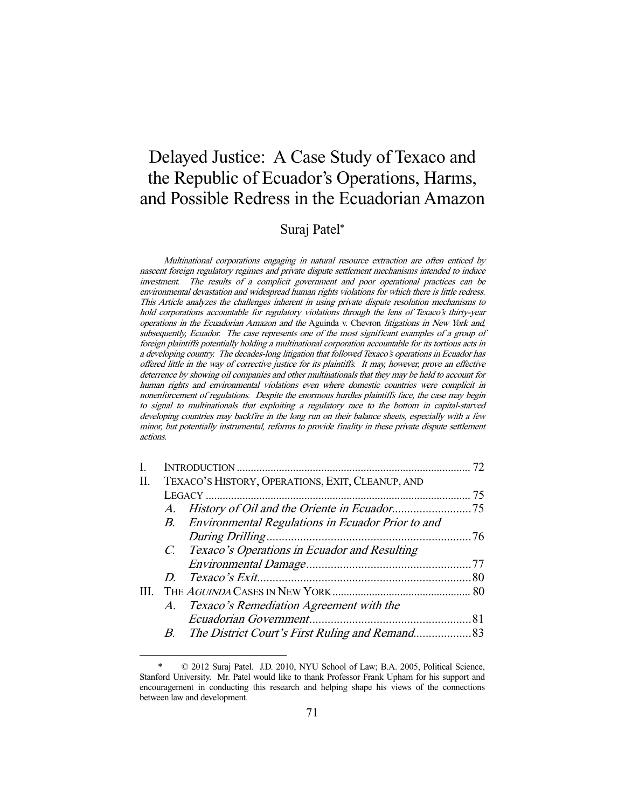# Delayed Justice: A Case Study of Texaco and the Republic of Ecuador's Operations, Harms, and Possible Redress in the Ecuadorian Amazon

## Suraj Patel\*

Multinational corporations engaging in natural resource extraction are often enticed by nascent foreign regulatory regimes and private dispute settlement mechanisms intended to induce investment. The results of a complicit government and poor operational practices can be environmental devastation and widespread human rights violations for which there is little redress. This Article analyzes the challenges inherent in using private dispute resolution mechanisms to hold corporations accountable for regulatory violations through the lens of Texaco's thirty-year operations in the Ecuadorian Amazon and the Aguinda v. Chevron litigations in New York and, subsequently, Ecuador. The case represents one of the most significant examples of a group of foreign plaintiffs potentially holding a multinational corporation accountable for its tortious acts in a developing country. The decades-long litigation that followed Texaco's operations in Ecuador has offered little in the way of corrective justice for its plaintiffs. It may, however, prove an effective deterrence by showing oil companies and other multinationals that they may be held to account for human rights and environmental violations even where domestic countries were complicit in nonenforcement of regulations. Despite the enormous hurdles plaintiffs face, the case may begin to signal to multinationals that exploiting a regulatory race to the bottom in capital-starved developing countries may backfire in the long run on their balance sheets, especially with a few minor, but potentially instrumental, reforms to provide finality in these private dispute settlement actions.

| I. |                                                  |                                                      | 72 |
|----|--------------------------------------------------|------------------------------------------------------|----|
| Π. | TEXACO'S HISTORY, OPERATIONS, EXIT, CLEANUP, AND |                                                      |    |
|    |                                                  |                                                      | 75 |
|    |                                                  |                                                      |    |
|    |                                                  | B. Environmental Regulations in Ecuador Prior to and |    |
|    |                                                  |                                                      |    |
|    |                                                  | C. Texaco's Operations in Ecuador and Resulting      |    |
|    |                                                  |                                                      |    |
|    |                                                  |                                                      |    |
|    |                                                  |                                                      |    |
|    |                                                  | A. Texaco's Remediation Agreement with the           |    |
|    |                                                  |                                                      |    |
|    |                                                  |                                                      |    |
|    |                                                  |                                                      |    |

 $© 2012 Suraj Patel. J.D. 2010, NYU School of Law; B.A. 2005, Political Science,$ Stanford University. Mr. Patel would like to thank Professor Frank Upham for his support and encouragement in conducting this research and helping shape his views of the connections between law and development.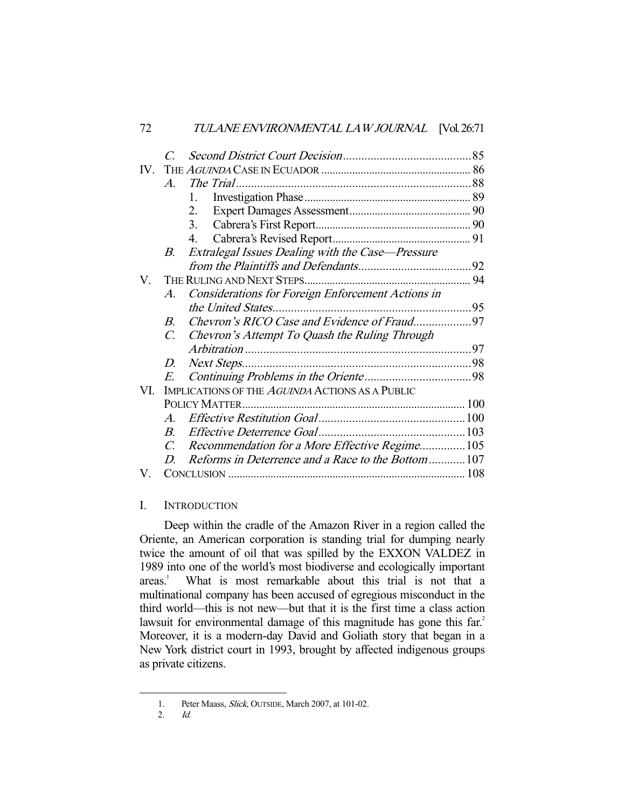| 72   | <u>I ULAINE EINVIKUININEIN IALILA WIJUUKINAL TYÖLEO, IT</u>     |  |  |
|------|-----------------------------------------------------------------|--|--|
|      | $\mathcal{C}$                                                   |  |  |
| IV — |                                                                 |  |  |
|      | $A_{\cdot}$                                                     |  |  |
|      | $1_{\cdots}$                                                    |  |  |
|      | 2.                                                              |  |  |
|      | 3.                                                              |  |  |
|      | 4.                                                              |  |  |
|      | Extralegal Issues Dealing with the Case—Pressure<br>$B_{\cdot}$ |  |  |
|      |                                                                 |  |  |
| V.   |                                                                 |  |  |
|      | Considerations for Foreign Enforcement Actions in<br>A.         |  |  |
|      |                                                                 |  |  |
|      | Chevron's RICO Case and Evidence of Fraud97<br>$B_{-}$          |  |  |
|      | Chevron's Attempt To Quash the Ruling Through<br>$C_{\cdot}$    |  |  |
|      |                                                                 |  |  |
|      | D.                                                              |  |  |
|      | E.                                                              |  |  |
| VI.  | IMPLICATIONS OF THE AGUINDA ACTIONS AS A PUBLIC                 |  |  |
|      |                                                                 |  |  |
|      | $A_{-}$                                                         |  |  |
|      | $B_{-}$                                                         |  |  |
|      | Recommendation for a More Effective Regime105<br>$\mathcal{C}$  |  |  |
|      | Reforms in Deterrence and a Race to the Bottom107<br>D          |  |  |
| V.   |                                                                 |  |  |

72 TULANE ENVIRONMENTAL LAW JOURNAL [Vol. 26:71

## I. INTRODUCTION

 Deep within the cradle of the Amazon River in a region called the Oriente, an American corporation is standing trial for dumping nearly twice the amount of oil that was spilled by the EXXON VALDEZ in 1989 into one of the world's most biodiverse and ecologically important  $area<sup>1</sup>$  What is most remarkable about this trial is not that a multinational company has been accused of egregious misconduct in the third world—this is not new—but that it is the first time a class action lawsuit for environmental damage of this magnitude has gone this far.<sup>2</sup> Moreover, it is a modern-day David and Goliath story that began in a New York district court in 1993, brought by affected indigenous groups as private citizens.

<sup>1.</sup> Peter Maass, *Slick*, OUTSIDE, March 2007, at 101-02.<br>2. Id.

 <sup>2.</sup> Id.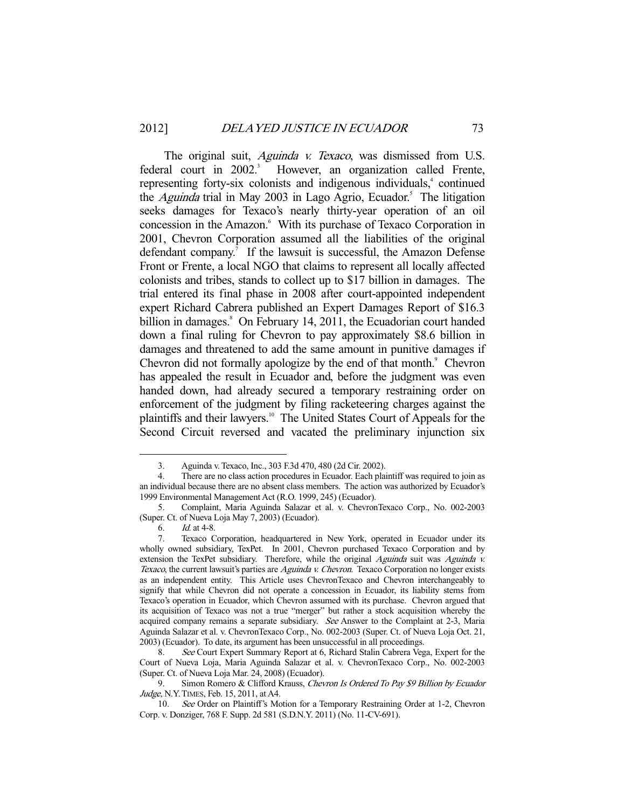The original suit, *Aguinda v. Texaco*, was dismissed from U.S. federal court in  $2002$ <sup>3</sup> However, an organization called Frente, representing forty-six colonists and indigenous individuals,<sup>4</sup> continued the *Aguinda* trial in May 2003 in Lago Agrio, Ecuador.<sup>5</sup> The litigation seeks damages for Texaco's nearly thirty-year operation of an oil concession in the Amazon.<sup>6</sup> With its purchase of Texaco Corporation in 2001, Chevron Corporation assumed all the liabilities of the original defendant company.<sup>7</sup> If the lawsuit is successful, the Amazon Defense Front or Frente, a local NGO that claims to represent all locally affected colonists and tribes, stands to collect up to \$17 billion in damages. The trial entered its final phase in 2008 after court-appointed independent expert Richard Cabrera published an Expert Damages Report of \$16.3 billion in damages.<sup>8</sup> On February 14, 2011, the Ecuadorian court handed down a final ruling for Chevron to pay approximately \$8.6 billion in damages and threatened to add the same amount in punitive damages if Chevron did not formally apologize by the end of that month.<sup>9</sup> Chevron has appealed the result in Ecuador and, before the judgment was even handed down, had already secured a temporary restraining order on enforcement of the judgment by filing racketeering charges against the plaintiffs and their lawyers.<sup>10</sup> The United States Court of Appeals for the Second Circuit reversed and vacated the preliminary injunction six

6. Id. at 4-8.

 <sup>3.</sup> Aguinda v. Texaco, Inc., 303 F.3d 470, 480 (2d Cir. 2002).

 <sup>4.</sup> There are no class action procedures in Ecuador. Each plaintiff was required to join as an individual because there are no absent class members. The action was authorized by Ecuador's 1999 Environmental Management Act (R.O. 1999, 245) (Ecuador).

 <sup>5.</sup> Complaint, Maria Aguinda Salazar et al. v. ChevronTexaco Corp., No. 002-2003 (Super. Ct. of Nueva Loja May 7, 2003) (Ecuador).

 <sup>7.</sup> Texaco Corporation, headquartered in New York, operated in Ecuador under its wholly owned subsidiary, TexPet. In 2001, Chevron purchased Texaco Corporation and by extension the TexPet subsidiary. Therefore, while the original Aguinda suit was Aguinda v. Texaco, the current lawsuit's parties are Aguinda v. Chevron. Texaco Corporation no longer exists as an independent entity. This Article uses ChevronTexaco and Chevron interchangeably to signify that while Chevron did not operate a concession in Ecuador, its liability stems from Texaco's operation in Ecuador, which Chevron assumed with its purchase. Chevron argued that its acquisition of Texaco was not a true "merger" but rather a stock acquisition whereby the acquired company remains a separate subsidiary. See Answer to the Complaint at 2-3, Maria Aguinda Salazar et al. v. ChevronTexaco Corp., No. 002-2003 (Super. Ct. of Nueva Loja Oct. 21, 2003) (Ecuador). To date, its argument has been unsuccessful in all proceedings.

 <sup>8.</sup> See Court Expert Summary Report at 6, Richard Stalin Cabrera Vega, Expert for the Court of Nueva Loja, Maria Aguinda Salazar et al. v. ChevronTexaco Corp., No. 002-2003 (Super. Ct. of Nueva Loja Mar. 24, 2008) (Ecuador).

<sup>9.</sup> Simon Romero & Clifford Krauss, Chevron Is Ordered To Pay \$9 Billion by Ecuador Judge, N.Y. TIMES, Feb. 15, 2011, at A4.

<sup>10.</sup> See Order on Plaintiff's Motion for a Temporary Restraining Order at 1-2, Chevron Corp. v. Donziger, 768 F. Supp. 2d 581 (S.D.N.Y. 2011) (No. 11-CV-691).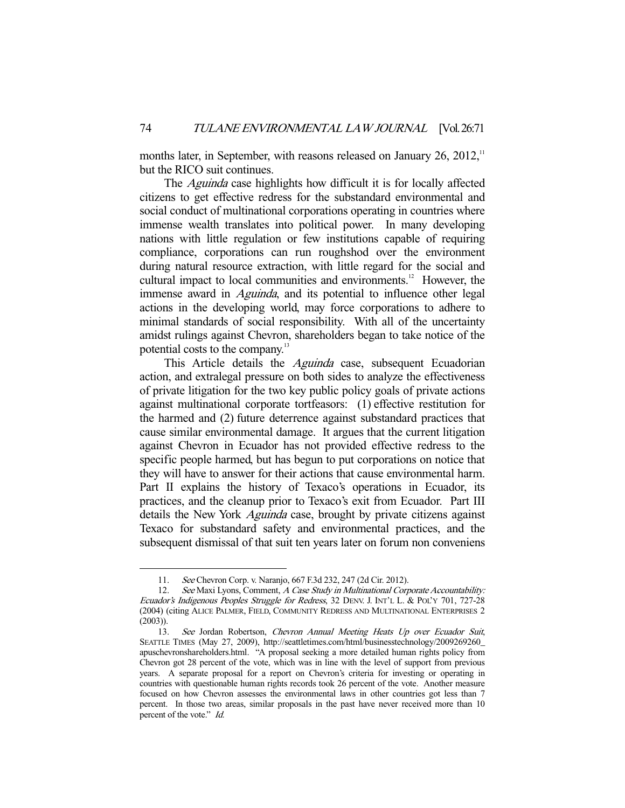months later, in September, with reasons released on January  $26$ ,  $2012$ ,<sup>11</sup> but the RICO suit continues.

The *Aguinda* case highlights how difficult it is for locally affected citizens to get effective redress for the substandard environmental and social conduct of multinational corporations operating in countries where immense wealth translates into political power. In many developing nations with little regulation or few institutions capable of requiring compliance, corporations can run roughshod over the environment during natural resource extraction, with little regard for the social and cultural impact to local communities and environments.<sup>12</sup> However, the immense award in *Aguinda*, and its potential to influence other legal actions in the developing world, may force corporations to adhere to minimal standards of social responsibility. With all of the uncertainty amidst rulings against Chevron, shareholders began to take notice of the potential costs to the company.13

This Article details the *Aguinda* case, subsequent Ecuadorian action, and extralegal pressure on both sides to analyze the effectiveness of private litigation for the two key public policy goals of private actions against multinational corporate tortfeasors: (1) effective restitution for the harmed and (2) future deterrence against substandard practices that cause similar environmental damage. It argues that the current litigation against Chevron in Ecuador has not provided effective redress to the specific people harmed, but has begun to put corporations on notice that they will have to answer for their actions that cause environmental harm. Part II explains the history of Texaco's operations in Ecuador, its practices, and the cleanup prior to Texaco's exit from Ecuador. Part III details the New York *Aguinda* case, brought by private citizens against Texaco for substandard safety and environmental practices, and the subsequent dismissal of that suit ten years later on forum non conveniens

 <sup>11.</sup> See Chevron Corp. v. Naranjo, 667 F.3d 232, 247 (2d Cir. 2012).

<sup>12.</sup> See Maxi Lyons, Comment, A Case Study in Multinational Corporate Accountability: Ecuador's Indigenous Peoples Struggle for Redress, 32 DENV. J. INT'L L. & POL'Y 701, 727-28 (2004) (citing ALICE PALMER, FIELD, COMMUNITY REDRESS AND MULTINATIONAL ENTERPRISES 2 (2003)).

<sup>13.</sup> See Jordan Robertson, Chevron Annual Meeting Heats Up over Ecuador Suit, SEATTLE TIMES (May 27, 2009), http://seattletimes.com/html/businesstechnology/2009269260\_ apuschevronshareholders.html. "A proposal seeking a more detailed human rights policy from Chevron got 28 percent of the vote, which was in line with the level of support from previous years. A separate proposal for a report on Chevron's criteria for investing or operating in countries with questionable human rights records took 26 percent of the vote. Another measure focused on how Chevron assesses the environmental laws in other countries got less than 7 percent. In those two areas, similar proposals in the past have never received more than 10 percent of the vote." Id.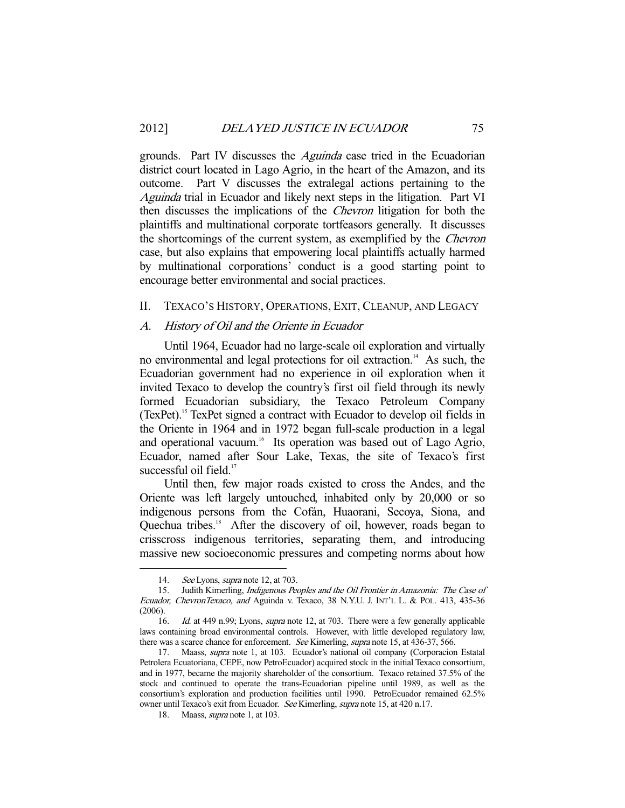grounds. Part IV discusses the Aguinda case tried in the Ecuadorian district court located in Lago Agrio, in the heart of the Amazon, and its outcome. Part V discusses the extralegal actions pertaining to the Aguinda trial in Ecuador and likely next steps in the litigation. Part VI then discusses the implications of the Chevron litigation for both the plaintiffs and multinational corporate tortfeasors generally. It discusses the shortcomings of the current system, as exemplified by the Chevron case, but also explains that empowering local plaintiffs actually harmed by multinational corporations' conduct is a good starting point to encourage better environmental and social practices.

#### II. TEXACO'S HISTORY, OPERATIONS, EXIT, CLEANUP, AND LEGACY

## A. History of Oil and the Oriente in Ecuador

 Until 1964, Ecuador had no large-scale oil exploration and virtually no environmental and legal protections for oil extraction.<sup>14</sup> As such, the Ecuadorian government had no experience in oil exploration when it invited Texaco to develop the country's first oil field through its newly formed Ecuadorian subsidiary, the Texaco Petroleum Company (TexPet).15 TexPet signed a contract with Ecuador to develop oil fields in the Oriente in 1964 and in 1972 began full-scale production in a legal and operational vacuum.<sup>16</sup> Its operation was based out of Lago Agrio, Ecuador, named after Sour Lake, Texas, the site of Texaco's first successful oil field.<sup>17</sup>

 Until then, few major roads existed to cross the Andes, and the Oriente was left largely untouched, inhabited only by 20,000 or so indigenous persons from the Cofán, Huaorani, Secoya, Siona, and Quechua tribes.<sup>18</sup> After the discovery of oil, however, roads began to crisscross indigenous territories, separating them, and introducing massive new socioeconomic pressures and competing norms about how

<sup>14.</sup> See Lyons, *supra* note 12, at 703.

<sup>15.</sup> Judith Kimerling, *Indigenous Peoples and the Oil Frontier in Amazonia: The Case of* Ecuador, ChevronTexaco, and Aguinda v. Texaco, 38 N.Y.U. J. INT'L L. & POL. 413, 435-36 (2006).

<sup>16.</sup> Id. at 449 n.99; Lyons, *supra* note 12, at 703. There were a few generally applicable laws containing broad environmental controls. However, with little developed regulatory law, there was a scarce chance for enforcement. See Kimerling, supra note 15, at 436-37, 566.

 <sup>17.</sup> Maass, supra note 1, at 103. Ecuador's national oil company (Corporacion Estatal Petrolera Ecuatoriana, CEPE, now PetroEcuador) acquired stock in the initial Texaco consortium, and in 1977, became the majority shareholder of the consortium. Texaco retained 37.5% of the stock and continued to operate the trans-Ecuadorian pipeline until 1989, as well as the consortium's exploration and production facilities until 1990. PetroEcuador remained 62.5% owner until Texaco's exit from Ecuador. See Kimerling, supra note 15, at 420 n.17.

<sup>18.</sup> Maass, *supra* note 1, at 103.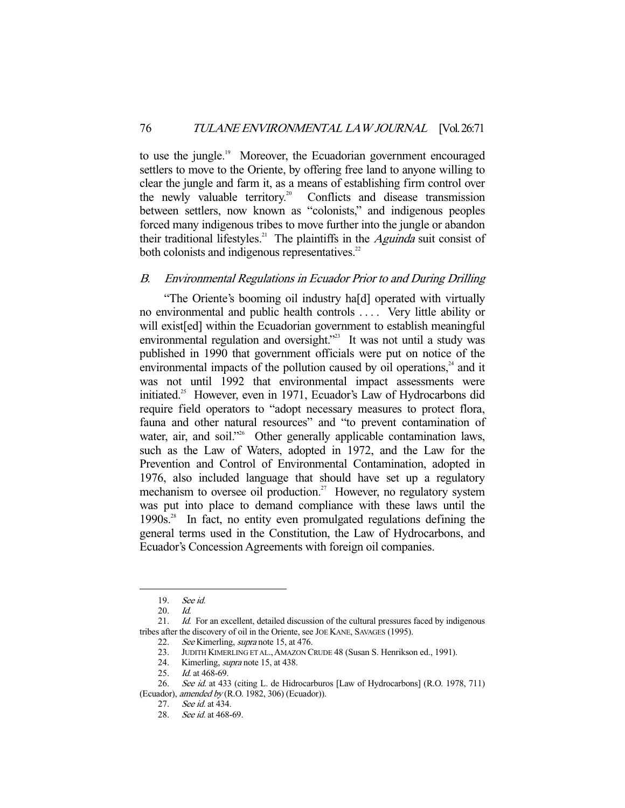to use the jungle.<sup>19</sup> Moreover, the Ecuadorian government encouraged settlers to move to the Oriente, by offering free land to anyone willing to clear the jungle and farm it, as a means of establishing firm control over the newly valuable territory.<sup>20</sup> Conflicts and disease transmission Conflicts and disease transmission between settlers, now known as "colonists," and indigenous peoples forced many indigenous tribes to move further into the jungle or abandon their traditional lifestyles.<sup>21</sup> The plaintiffs in the *Aguinda* suit consist of both colonists and indigenous representatives.<sup>22</sup>

## B. Environmental Regulations in Ecuador Prior to and During Drilling

 "The Oriente's booming oil industry ha[d] operated with virtually no environmental and public health controls . . . . Very little ability or will exist[ed] within the Ecuadorian government to establish meaningful environmental regulation and oversight."<sup>23</sup> It was not until a study was published in 1990 that government officials were put on notice of the environmental impacts of the pollution caused by oil operations,<sup>24</sup> and it was not until 1992 that environmental impact assessments were initiated.<sup>25</sup> However, even in 1971, Ecuador's Law of Hydrocarbons did require field operators to "adopt necessary measures to protect flora, fauna and other natural resources" and "to prevent contamination of water, air, and soil."<sup>26</sup> Other generally applicable contamination laws, such as the Law of Waters, adopted in 1972, and the Law for the Prevention and Control of Environmental Contamination, adopted in 1976, also included language that should have set up a regulatory mechanism to oversee oil production.<sup>27</sup> However, no regulatory system was put into place to demand compliance with these laws until the 1990s.<sup>28</sup> In fact, no entity even promulgated regulations defining the general terms used in the Constitution, the Law of Hydrocarbons, and Ecuador's Concession Agreements with foreign oil companies.

 <sup>19.</sup> See id.

 <sup>20.</sup> Id.

<sup>21.</sup> *Id.* For an excellent, detailed discussion of the cultural pressures faced by indigenous tribes after the discovery of oil in the Oriente, see JOE KANE, SAVAGES (1995).

<sup>22.</sup> See Kimerling, *supra* note 15, at 476.<br>23. JUDITH KIMERLING ET AL., AMAZON C JUDITH KIMERLING ET AL., AMAZON CRUDE 48 (Susan S. Henrikson ed., 1991).

<sup>24.</sup> Kimerling, *supra* note 15, at 438.

<sup>25.</sup> *Id.* at 468-69.

<sup>26.</sup> See id. at 433 (citing L. de Hidrocarburos [Law of Hydrocarbons] (R.O. 1978, 711) (Ecuador), amended by (R.O. 1982, 306) (Ecuador)).

<sup>27.</sup> *See id.* at 434.

 <sup>28.</sup> See id. at 468-69.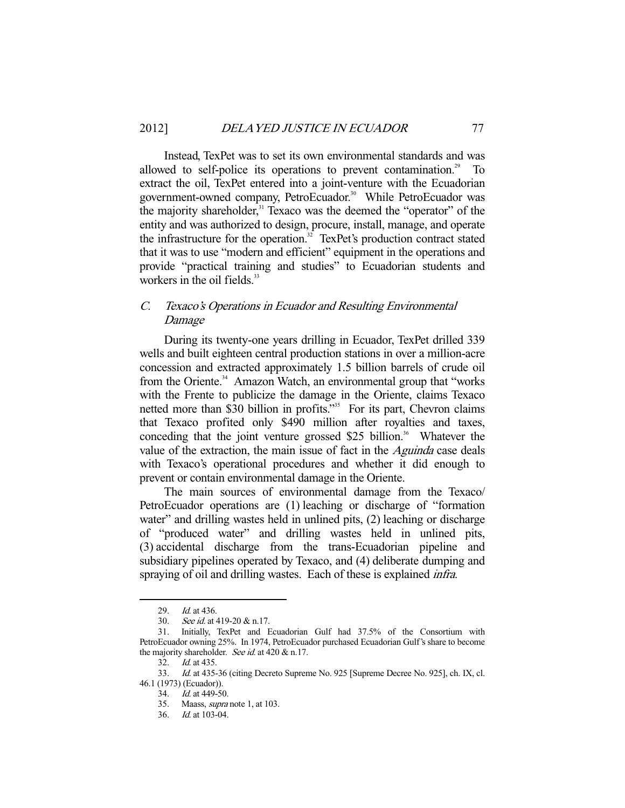Instead, TexPet was to set its own environmental standards and was allowed to self-police its operations to prevent contamination.<sup>29</sup> extract the oil, TexPet entered into a joint-venture with the Ecuadorian government-owned company, PetroEcuador.<sup>30</sup> While PetroEcuador was the majority shareholder,<sup>31</sup> Texaco was the deemed the "operator" of the entity and was authorized to design, procure, install, manage, and operate the infrastructure for the operation.<sup>32</sup> TexPet's production contract stated that it was to use "modern and efficient" equipment in the operations and provide "practical training and studies" to Ecuadorian students and workers in the oil fields.<sup>33</sup>

## C. Texaco's Operations in Ecuador and Resulting Environmental Damage

 During its twenty-one years drilling in Ecuador, TexPet drilled 339 wells and built eighteen central production stations in over a million-acre concession and extracted approximately 1.5 billion barrels of crude oil from the Oriente.<sup>34</sup> Amazon Watch, an environmental group that "works" with the Frente to publicize the damage in the Oriente, claims Texaco netted more than \$30 billion in profits."<sup>35</sup> For its part, Chevron claims that Texaco profited only \$490 million after royalties and taxes, conceding that the joint venture grossed \$25 billion.<sup>36</sup> Whatever the value of the extraction, the main issue of fact in the *Aguinda* case deals with Texaco's operational procedures and whether it did enough to prevent or contain environmental damage in the Oriente.

 The main sources of environmental damage from the Texaco/ PetroEcuador operations are (1) leaching or discharge of "formation water" and drilling wastes held in unlined pits, (2) leaching or discharge of "produced water" and drilling wastes held in unlined pits, (3) accidental discharge from the trans-Ecuadorian pipeline and subsidiary pipelines operated by Texaco, and (4) deliberate dumping and spraying of oil and drilling wastes. Each of these is explained *infra*.

<sup>29.</sup> *Id.* at 436.

<sup>30.</sup> See id. at 419-20 & n.17.

 <sup>31.</sup> Initially, TexPet and Ecuadorian Gulf had 37.5% of the Consortium with PetroEcuador owning 25%. In 1974, PetroEcuador purchased Ecuadorian Gulf's share to become the majority shareholder. See id. at 420 & n.17.

 <sup>32.</sup> Id. at 435.

<sup>33.</sup> Id. at 435-36 (citing Decreto Supreme No. 925 [Supreme Decree No. 925], ch. IX, cl. 46.1 (1973) (Ecuador)).

 <sup>34.</sup> Id. at 449-50.

 <sup>35.</sup> Maass, supra note 1, at 103.

 <sup>36.</sup> Id. at 103-04.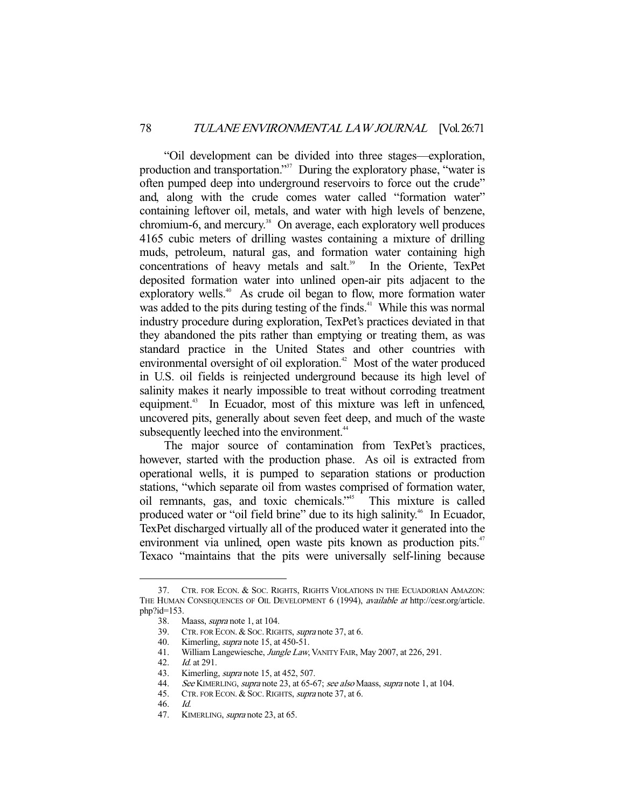"Oil development can be divided into three stages—exploration, production and transportation."<sup>37</sup> During the exploratory phase, "water is often pumped deep into underground reservoirs to force out the crude" and, along with the crude comes water called "formation water" containing leftover oil, metals, and water with high levels of benzene,  $chromium-6$ , and mercury.<sup>38</sup> On average, each exploratory well produces 4165 cubic meters of drilling wastes containing a mixture of drilling muds, petroleum, natural gas, and formation water containing high concentrations of heavy metals and salt.<sup>39</sup> In the Oriente, TexPet deposited formation water into unlined open-air pits adjacent to the exploratory wells.<sup>40</sup> As crude oil began to flow, more formation water was added to the pits during testing of the finds.<sup>41</sup> While this was normal industry procedure during exploration, TexPet's practices deviated in that they abandoned the pits rather than emptying or treating them, as was standard practice in the United States and other countries with environmental oversight of oil exploration.<sup> $42$ </sup> Most of the water produced in U.S. oil fields is reinjected underground because its high level of salinity makes it nearly impossible to treat without corroding treatment equipment.<sup>43</sup> In Ecuador, most of this mixture was left in unfenced, uncovered pits, generally about seven feet deep, and much of the waste subsequently leeched into the environment.<sup>44</sup>

 The major source of contamination from TexPet's practices, however, started with the production phase. As oil is extracted from operational wells, it is pumped to separation stations or production stations, "which separate oil from wastes comprised of formation water, oil remnants, gas, and toxic chemicals."45 This mixture is called produced water or "oil field brine" due to its high salinity.<sup>46</sup> In Ecuador, TexPet discharged virtually all of the produced water it generated into the environment via unlined, open waste pits known as production pits.<sup>47</sup> Texaco "maintains that the pits were universally self-lining because

 <sup>37.</sup> CTR. FOR ECON. & SOC. RIGHTS, RIGHTS VIOLATIONS IN THE ECUADORIAN AMAZON: THE HUMAN CONSEQUENCES OF OIL DEVELOPMENT 6 (1994), available at http://cesr.org/article.  $php$ ? $id=153$ .

 <sup>38.</sup> Maass, supra note 1, at 104.

 <sup>39.</sup> CTR. FOR ECON. & SOC.RIGHTS, supra note 37, at 6.

<sup>40.</sup> Kimerling, *supra* note 15, at 450-51.<br>41. William Langewiesche, *Jungle Law*, 41. William Langewiesche, Jungle Law, VANITY FAIR, May 2007, at 226, 291.<br>42. Id. at 291.

Id. at 291.

<sup>43.</sup> Kimerling, *supra* note 15, at 452, 507.

<sup>44.</sup> See KIMERLING, supra note 23, at 65-67; see also Maass, supra note 1, at 104. CTR. FOR ECON. & SOC. RIGHTS, supra note 37, at 6.

CTR. FOR ECON. & SOC. RIGHTS, *supra* note 37, at 6.

 <sup>46.</sup> Id.

<sup>47.</sup> KIMERLING, *supra* note 23, at 65.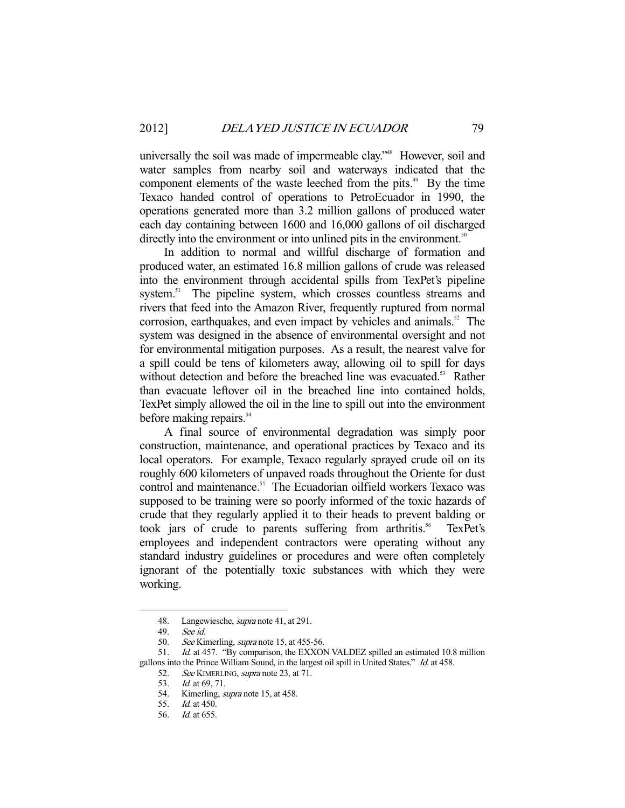universally the soil was made of impermeable clay."<sup>48</sup> However, soil and water samples from nearby soil and waterways indicated that the component elements of the waste leeched from the pits.<sup>49</sup> By the time Texaco handed control of operations to PetroEcuador in 1990, the operations generated more than 3.2 million gallons of produced water each day containing between 1600 and 16,000 gallons of oil discharged directly into the environment or into unlined pits in the environment.<sup>50</sup>

 In addition to normal and willful discharge of formation and produced water, an estimated 16.8 million gallons of crude was released into the environment through accidental spills from TexPet's pipeline system.<sup>51</sup> The pipeline system, which crosses countless streams and rivers that feed into the Amazon River, frequently ruptured from normal corrosion, earthquakes, and even impact by vehicles and animals.<sup>52</sup> The system was designed in the absence of environmental oversight and not for environmental mitigation purposes. As a result, the nearest valve for a spill could be tens of kilometers away, allowing oil to spill for days without detection and before the breached line was evacuated.<sup>53</sup> Rather than evacuate leftover oil in the breached line into contained holds, TexPet simply allowed the oil in the line to spill out into the environment before making repairs.<sup>54</sup>

 A final source of environmental degradation was simply poor construction, maintenance, and operational practices by Texaco and its local operators. For example, Texaco regularly sprayed crude oil on its roughly 600 kilometers of unpaved roads throughout the Oriente for dust control and maintenance.<sup>55</sup> The Ecuadorian oilfield workers Texaco was supposed to be training were so poorly informed of the toxic hazards of crude that they regularly applied it to their heads to prevent balding or took jars of crude to parents suffering from arthritis.<sup>56</sup> TexPet's employees and independent contractors were operating without any standard industry guidelines or procedures and were often completely ignorant of the potentially toxic substances with which they were working.

 <sup>48.</sup> Langewiesche, supra note 41, at 291.

 <sup>49.</sup> See id.

<sup>50.</sup> See Kimerling, *supra* note 15, at 455-56.

<sup>51.</sup> *Id.* at 457. "By comparison, the EXXON VALDEZ spilled an estimated 10.8 million gallons into the Prince William Sound, in the largest oil spill in United States." Id. at 458.

<sup>52.</sup> See KIMERLING, supra note 23, at 71.

<sup>53.</sup> *Id.* at 69, 71.

<sup>54.</sup> Kimerling, *supra* note 15, at 458.

 <sup>55.</sup> Id. at 450.

 <sup>56.</sup> Id. at 655.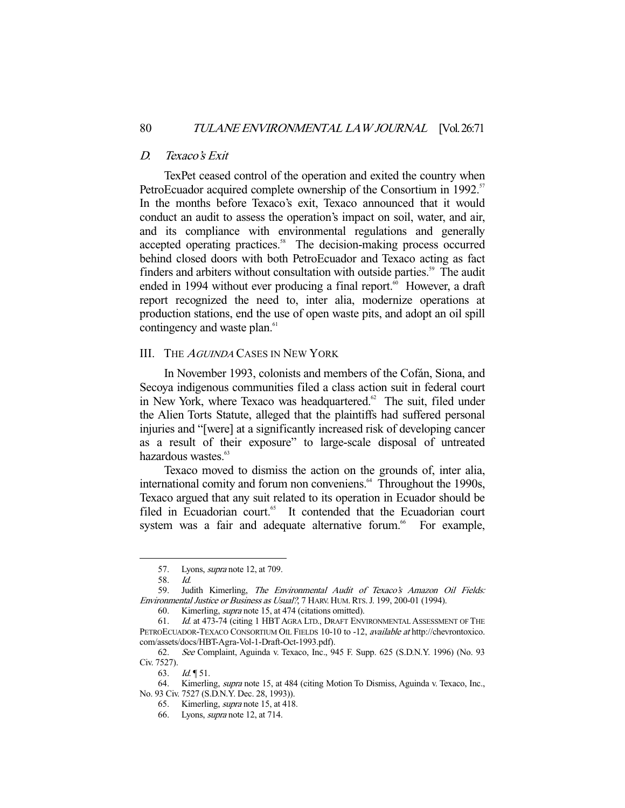#### D. Texaco's Exit

 TexPet ceased control of the operation and exited the country when PetroEcuador acquired complete ownership of the Consortium in 1992.<sup>57</sup> In the months before Texaco's exit, Texaco announced that it would conduct an audit to assess the operation's impact on soil, water, and air, and its compliance with environmental regulations and generally accepted operating practices.<sup>58</sup> The decision-making process occurred behind closed doors with both PetroEcuador and Texaco acting as fact finders and arbiters without consultation with outside parties.<sup>59</sup> The audit ended in 1994 without ever producing a final report.<sup>60</sup> However, a draft report recognized the need to, inter alia, modernize operations at production stations, end the use of open waste pits, and adopt an oil spill contingency and waste plan.<sup>61</sup>

## III. THE <sup>A</sup>GUINDA CASES IN NEW YORK

 In November 1993, colonists and members of the Cofán, Siona, and Secoya indigenous communities filed a class action suit in federal court in New York, where Texaco was headquartered. $62$  The suit, filed under the Alien Torts Statute, alleged that the plaintiffs had suffered personal injuries and "[were] at a significantly increased risk of developing cancer as a result of their exposure" to large-scale disposal of untreated hazardous wastes.<sup>63</sup>

 Texaco moved to dismiss the action on the grounds of, inter alia, international comity and forum non conveniens.<sup>64</sup> Throughout the 1990s, Texaco argued that any suit related to its operation in Ecuador should be filed in Ecuadorian court.<sup>65</sup> It contended that the Ecuadorian court system was a fair and adequate alternative forum.<sup>66</sup> For example,

 <sup>57.</sup> Lyons, supra note 12, at 709.

 <sup>58.</sup> Id.

<sup>59.</sup> Judith Kimerling, The Environmental Audit of Texaco's Amazon Oil Fields: Environmental Justice or Business as Usual?, 7 HARV. HUM.RTS.J. 199, 200-01 (1994).

 <sup>60.</sup> Kimerling, supra note 15, at 474 (citations omitted).

 <sup>61.</sup> Id. at 473-74 (citing 1 HBT AGRA LTD., DRAFT ENVIRONMENTAL ASSESSMENT OF THE PETROECUADOR-TEXACO CONSORTIUM OIL FIELDS 10-10 to -12, *available at* http://chevrontoxico. com/assets/docs/HBT-Agra-Vol-1-Draft-Oct-1993.pdf).

 <sup>62.</sup> See Complaint, Aguinda v. Texaco, Inc., 945 F. Supp. 625 (S.D.N.Y. 1996) (No. 93 Civ. 7527).

<sup>63.</sup> *Id.*  $\sqrt{51}$ .

<sup>64.</sup> Kimerling, *supra* note 15, at 484 (citing Motion To Dismiss, Aguinda v. Texaco, Inc., No. 93 Civ. 7527 (S.D.N.Y. Dec. 28, 1993)).

 <sup>65.</sup> Kimerling, supra note 15, at 418.

 <sup>66.</sup> Lyons, supra note 12, at 714.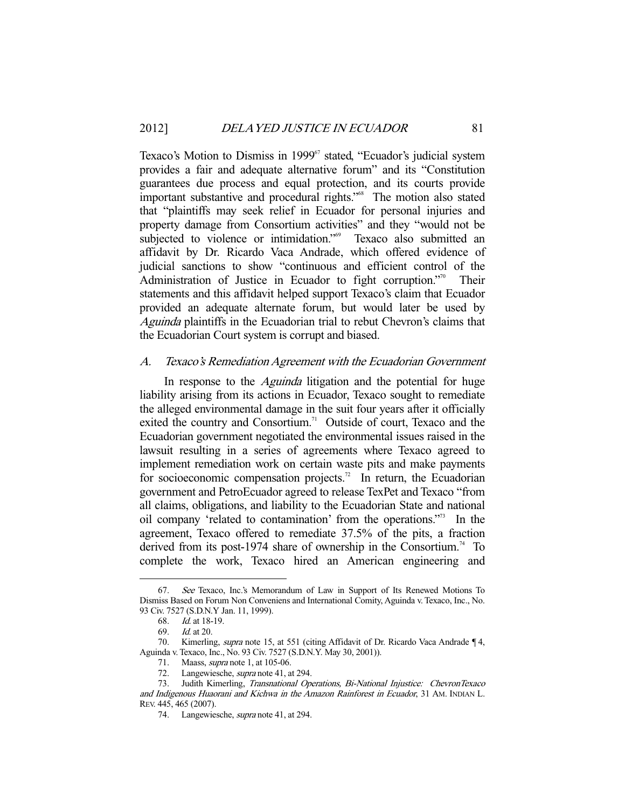Texaco's Motion to Dismiss in 1999<sup>67</sup> stated, "Ecuador's judicial system provides a fair and adequate alternative forum" and its "Constitution guarantees due process and equal protection, and its courts provide important substantive and procedural rights."68 The motion also stated that "plaintiffs may seek relief in Ecuador for personal injuries and property damage from Consortium activities" and they "would not be subjected to violence or intimidation."<sup>69</sup> Texaco also submitted an affidavit by Dr. Ricardo Vaca Andrade, which offered evidence of judicial sanctions to show "continuous and efficient control of the Administration of Justice in Ecuador to fight corruption."<sup>70</sup> Their statements and this affidavit helped support Texaco's claim that Ecuador provided an adequate alternate forum, but would later be used by Aguinda plaintiffs in the Ecuadorian trial to rebut Chevron's claims that the Ecuadorian Court system is corrupt and biased.

## A. Texaco's Remediation Agreement with the Ecuadorian Government

In response to the *Aguinda* litigation and the potential for huge liability arising from its actions in Ecuador, Texaco sought to remediate the alleged environmental damage in the suit four years after it officially exited the country and Consortium.<sup>71</sup> Outside of court, Texaco and the Ecuadorian government negotiated the environmental issues raised in the lawsuit resulting in a series of agreements where Texaco agreed to implement remediation work on certain waste pits and make payments for socioeconomic compensation projects.<sup>72</sup> In return, the Ecuadorian government and PetroEcuador agreed to release TexPet and Texaco "from all claims, obligations, and liability to the Ecuadorian State and national oil company 'related to contamination' from the operations."73 In the agreement, Texaco offered to remediate 37.5% of the pits, a fraction derived from its post-1974 share of ownership in the Consortium.<sup>74</sup> To complete the work, Texaco hired an American engineering and

 <sup>67.</sup> See Texaco, Inc.'s Memorandum of Law in Support of Its Renewed Motions To Dismiss Based on Forum Non Conveniens and International Comity, Aguinda v. Texaco, Inc., No. 93 Civ. 7527 (S.D.N.Y Jan. 11, 1999).

 <sup>68.</sup> Id. at 18-19.

 <sup>69.</sup> Id. at 20.

<sup>70.</sup> Kimerling, *supra* note 15, at 551 (citing Affidavit of Dr. Ricardo Vaca Andrade 14, Aguinda v. Texaco, Inc., No. 93 Civ. 7527 (S.D.N.Y. May 30, 2001)).

 <sup>71.</sup> Maass, supra note 1, at 105-06.

<sup>72.</sup> Langewiesche, *supra* note 41, at 294.

 <sup>73.</sup> Judith Kimerling, Transnational Operations, Bi-National Injustice: ChevronTexaco and Indigenous Huaorani and Kichwa in the Amazon Rainforest in Ecuador, 31 AM. INDIAN L. REV. 445, 465 (2007).

 <sup>74.</sup> Langewiesche, supra note 41, at 294.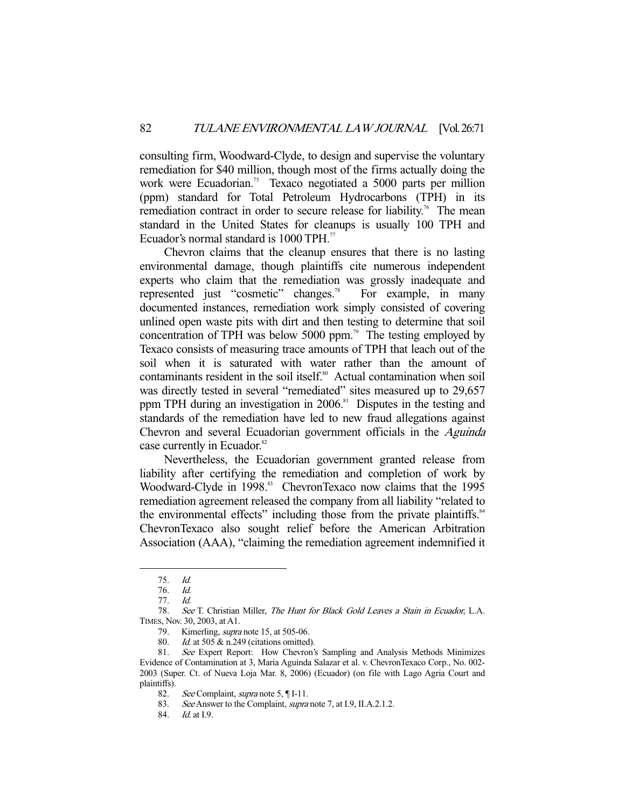consulting firm, Woodward-Clyde, to design and supervise the voluntary remediation for \$40 million, though most of the firms actually doing the work were Ecuadorian.<sup>75</sup> Texaco negotiated a 5000 parts per million (ppm) standard for Total Petroleum Hydrocarbons (TPH) in its remediation contract in order to secure release for liability.<sup>76</sup> The mean standard in the United States for cleanups is usually 100 TPH and Ecuador's normal standard is  $1000$  TPH.<sup>77</sup>

 Chevron claims that the cleanup ensures that there is no lasting environmental damage, though plaintiffs cite numerous independent experts who claim that the remediation was grossly inadequate and represented just "cosmetic" changes.<sup>78</sup> For example, in many documented instances, remediation work simply consisted of covering unlined open waste pits with dirt and then testing to determine that soil concentration of TPH was below 5000 ppm.<sup>79</sup> The testing employed by Texaco consists of measuring trace amounts of TPH that leach out of the soil when it is saturated with water rather than the amount of contaminants resident in the soil itself.<sup>80</sup> Actual contamination when soil was directly tested in several "remediated" sites measured up to 29,657 ppm TPH during an investigation in 2006.<sup>81</sup> Disputes in the testing and standards of the remediation have led to new fraud allegations against Chevron and several Ecuadorian government officials in the Aguinda case currently in Ecuador.<sup>82</sup>

 Nevertheless, the Ecuadorian government granted release from liability after certifying the remediation and completion of work by Woodward-Clyde in 1998.<sup>83</sup> ChevronTexaco now claims that the 1995 remediation agreement released the company from all liability "related to the environmental effects" including those from the private plaintiffs.<sup>84</sup> ChevronTexaco also sought relief before the American Arbitration Association (AAA), "claiming the remediation agreement indemnified it

 <sup>75.</sup> Id.

 <sup>76.</sup> Id.

 <sup>77.</sup> Id.

 <sup>78.</sup> See T. Christian Miller, The Hunt for Black Gold Leaves a Stain in Ecuador, L.A. TIMES, Nov. 30, 2003, at A1.

<sup>79.</sup> Kimerling, *supra* note 15, at 505-06.

 <sup>80.</sup> Id. at 505 & n.249 (citations omitted).

<sup>81.</sup> See Expert Report: How Chevron's Sampling and Analysis Methods Minimizes Evidence of Contamination at 3, Maria Aguinda Salazar et al. v. ChevronTexaco Corp., No. 002- 2003 (Super. Ct. of Nueva Loja Mar. 8, 2006) (Ecuador) (on file with Lago Agria Court and plaintiffs).

<sup>82.</sup> See Complaint, *supra* note 5, [I-11.]

<sup>83.</sup> See Answer to the Complaint, *supra* note 7, at I.9, II.A.2.1.2.

<sup>84.</sup> *Id.* at I.9.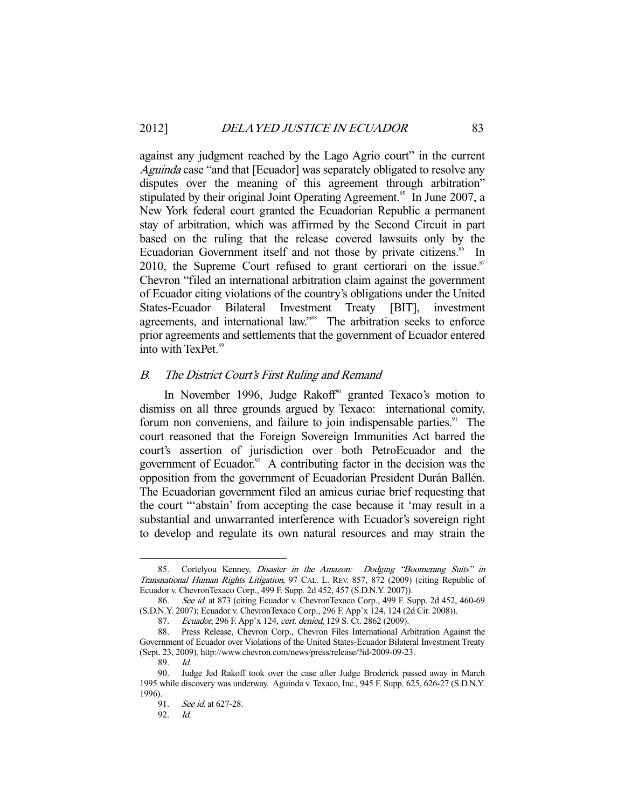against any judgment reached by the Lago Agrio court" in the current Aguinda case "and that [Ecuador] was separately obligated to resolve any disputes over the meaning of this agreement through arbitration" stipulated by their original Joint Operating Agreement.<sup>85</sup> In June 2007, a New York federal court granted the Ecuadorian Republic a permanent stay of arbitration, which was affirmed by the Second Circuit in part based on the ruling that the release covered lawsuits only by the Ecuadorian Government itself and not those by private citizens.<sup>86</sup> In 2010, the Supreme Court refused to grant certiorari on the issue. $87$ Chevron "filed an international arbitration claim against the government of Ecuador citing violations of the country's obligations under the United States-Ecuador Bilateral Investment Treaty [BIT], investment agreements, and international law."<sup>88</sup> The arbitration seeks to enforce prior agreements and settlements that the government of Ecuador entered into with TexPet.<sup>89</sup>

#### B. The District Court's First Ruling and Remand

In November 1996, Judge Rakoff<sup>90</sup> granted Texaco's motion to dismiss on all three grounds argued by Texaco: international comity, forum non conveniens, and failure to join indispensable parties.<sup>91</sup> The court reasoned that the Foreign Sovereign Immunities Act barred the court's assertion of jurisdiction over both PetroEcuador and the government of Ecuador. $92$  A contributing factor in the decision was the opposition from the government of Ecuadorian President Durán Ballén. The Ecuadorian government filed an amicus curiae brief requesting that the court "'abstain' from accepting the case because it 'may result in a substantial and unwarranted interference with Ecuador's sovereign right to develop and regulate its own natural resources and may strain the

<sup>85.</sup> Cortelyou Kenney, Disaster in the Amazon: Dodging "Boomerang Suits" in Transnational Human Rights Litigation, 97 CAL. L. REV. 857, 872 (2009) (citing Republic of Ecuador v. ChevronTexaco Corp., 499 F. Supp. 2d 452, 457 (S.D.N.Y. 2007)).

<sup>86.</sup> See id. at 873 (citing Ecuador v. ChevronTexaco Corp., 499 F. Supp. 2d 452, 460-69 (S.D.N.Y. 2007); Ecuador v. ChevronTexaco Corp., 296 F. App'x 124, 124 (2d Cir. 2008)).

 <sup>87.</sup> Ecuador, 296 F. App'x 124, cert. denied, 129 S. Ct. 2862 (2009).

 <sup>88.</sup> Press Release, Chevron Corp., Chevron Files International Arbitration Against the Government of Ecuador over Violations of the United States-Ecuador Bilateral Investment Treaty (Sept. 23, 2009), http://www.chevron.com/news/press/release/?id-2009-09-23.

 <sup>89.</sup> Id.

 <sup>90.</sup> Judge Jed Rakoff took over the case after Judge Broderick passed away in March 1995 while discovery was underway. Aguinda v. Texaco, Inc., 945 F. Supp. 625, 626-27 (S.D.N.Y. 1996).

 <sup>91.</sup> See id. at 627-28.

 <sup>92.</sup> Id.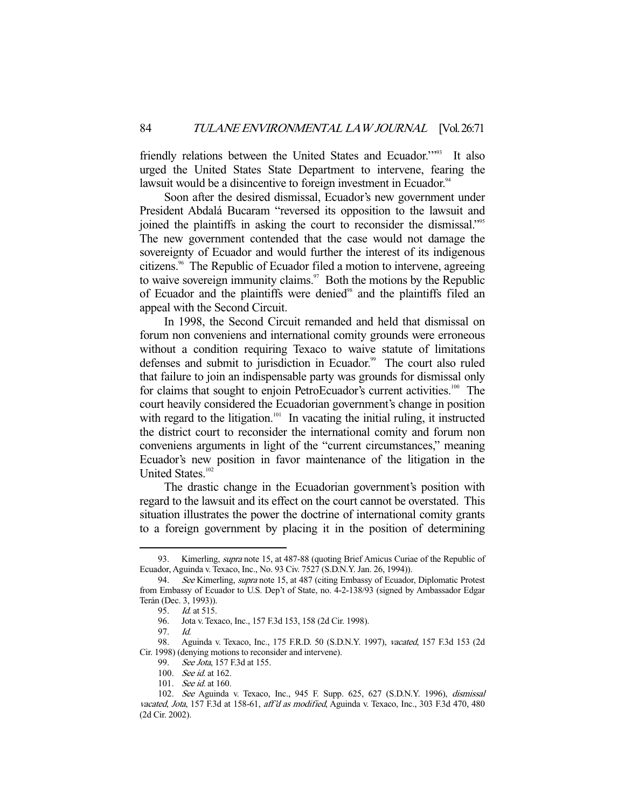friendly relations between the United States and Ecuador."<sup>93</sup> It also urged the United States State Department to intervene, fearing the lawsuit would be a disincentive to foreign investment in Ecuador.<sup>94</sup>

 Soon after the desired dismissal, Ecuador's new government under President Abdalá Bucaram "reversed its opposition to the lawsuit and joined the plaintiffs in asking the court to reconsider the dismissal."95 The new government contended that the case would not damage the sovereignty of Ecuador and would further the interest of its indigenous citizens.96 The Republic of Ecuador filed a motion to intervene, agreeing to waive sovereign immunity claims.<sup>97</sup> Both the motions by the Republic of Ecuador and the plaintiffs were denied<sup>98</sup> and the plaintiffs filed an appeal with the Second Circuit.

 In 1998, the Second Circuit remanded and held that dismissal on forum non conveniens and international comity grounds were erroneous without a condition requiring Texaco to waive statute of limitations defenses and submit to jurisdiction in Ecuador.<sup>99</sup> The court also ruled that failure to join an indispensable party was grounds for dismissal only for claims that sought to enjoin PetroEcuador's current activities.<sup>100</sup> The court heavily considered the Ecuadorian government's change in position with regard to the litigation.<sup>101</sup> In vacating the initial ruling, it instructed the district court to reconsider the international comity and forum non conveniens arguments in light of the "current circumstances," meaning Ecuador's new position in favor maintenance of the litigation in the United States.<sup>102</sup>

 The drastic change in the Ecuadorian government's position with regard to the lawsuit and its effect on the court cannot be overstated. This situation illustrates the power the doctrine of international comity grants to a foreign government by placing it in the position of determining

<sup>93.</sup> Kimerling, *supra* note 15, at 487-88 (quoting Brief Amicus Curiae of the Republic of Ecuador, Aguinda v. Texaco, Inc., No. 93 Civ. 7527 (S.D.N.Y. Jan. 26, 1994)).

<sup>94.</sup> See Kimerling, supra note 15, at 487 (citing Embassy of Ecuador, Diplomatic Protest from Embassy of Ecuador to U.S. Dep't of State, no. 4-2-138/93 (signed by Ambassador Edgar Terán (Dec. 3, 1993)). 95. Id. at 515.

 <sup>96.</sup> Jota v. Texaco, Inc., 157 F.3d 153, 158 (2d Cir. 1998).

 <sup>97.</sup> Id.

 <sup>98.</sup> Aguinda v. Texaco, Inc., 175 F.R.D. 50 (S.D.N.Y. 1997), vacated, 157 F.3d 153 (2d Cir. 1998) (denying motions to reconsider and intervene).

<sup>99.</sup> See Jota, 157 F.3d at 155.

 <sup>100.</sup> See id. at 162.

<sup>101.</sup> See id. at 160.

 <sup>102.</sup> See Aguinda v. Texaco, Inc., 945 F. Supp. 625, 627 (S.D.N.Y. 1996), dismissal vacated, Jota, 157 F.3d at 158-61, aff'd as modified, Aguinda v. Texaco, Inc., 303 F.3d 470, 480 (2d Cir. 2002).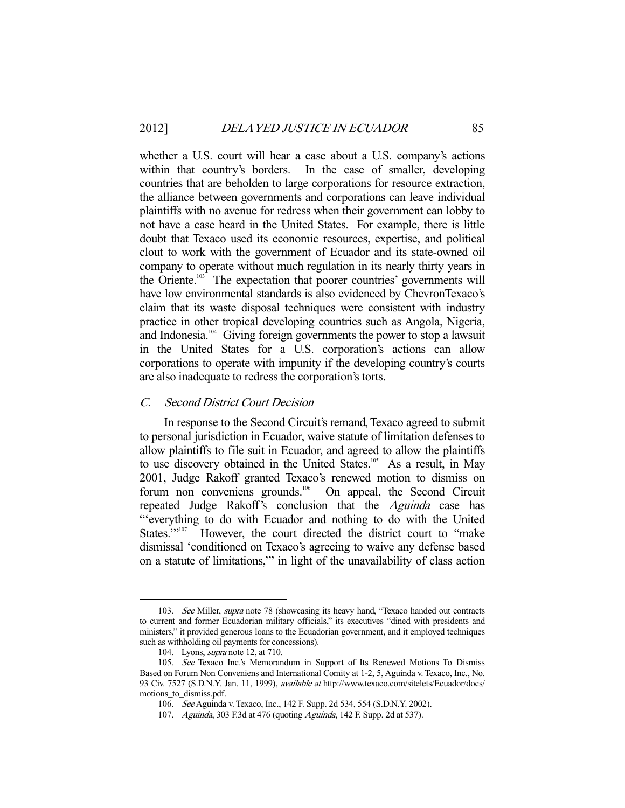whether a U.S. court will hear a case about a U.S. company's actions within that country's borders. In the case of smaller, developing countries that are beholden to large corporations for resource extraction, the alliance between governments and corporations can leave individual plaintiffs with no avenue for redress when their government can lobby to not have a case heard in the United States. For example, there is little doubt that Texaco used its economic resources, expertise, and political clout to work with the government of Ecuador and its state-owned oil company to operate without much regulation in its nearly thirty years in the Oriente.<sup>103</sup> The expectation that poorer countries' governments will have low environmental standards is also evidenced by ChevronTexaco's claim that its waste disposal techniques were consistent with industry practice in other tropical developing countries such as Angola, Nigeria, and Indonesia.<sup>104</sup> Giving foreign governments the power to stop a lawsuit in the United States for a U.S. corporation's actions can allow corporations to operate with impunity if the developing country's courts are also inadequate to redress the corporation's torts.

#### C. Second District Court Decision

 In response to the Second Circuit's remand, Texaco agreed to submit to personal jurisdiction in Ecuador, waive statute of limitation defenses to allow plaintiffs to file suit in Ecuador, and agreed to allow the plaintiffs to use discovery obtained in the United States.<sup>105</sup> As a result, in May 2001, Judge Rakoff granted Texaco's renewed motion to dismiss on forum non conveniens grounds.<sup>106</sup> On appeal, the Second Circuit repeated Judge Rakoff's conclusion that the Aguinda case has "'everything to do with Ecuador and nothing to do with the United States."<sup>107</sup> However, the court directed the district court to "make dismissal 'conditioned on Texaco's agreeing to waive any defense based on a statute of limitations,'" in light of the unavailability of class action

<sup>103.</sup> See Miller, supra note 78 (showcasing its heavy hand, "Texaco handed out contracts to current and former Ecuadorian military officials," its executives "dined with presidents and ministers," it provided generous loans to the Ecuadorian government, and it employed techniques such as withholding oil payments for concessions).

 <sup>104.</sup> Lyons, supra note 12, at 710.

 <sup>105.</sup> See Texaco Inc.'s Memorandum in Support of Its Renewed Motions To Dismiss Based on Forum Non Conveniens and International Comity at 1-2, 5, Aguinda v. Texaco, Inc., No. 93 Civ. 7527 (S.D.N.Y. Jan. 11, 1999), available at http://www.texaco.com/sitelets/Ecuador/docs/ motions\_to\_dismiss.pdf.

 <sup>106.</sup> See Aguinda v. Texaco, Inc., 142 F. Supp. 2d 534, 554 (S.D.N.Y. 2002).

<sup>107.</sup> Aguinda, 303 F.3d at 476 (quoting Aguinda, 142 F. Supp. 2d at 537).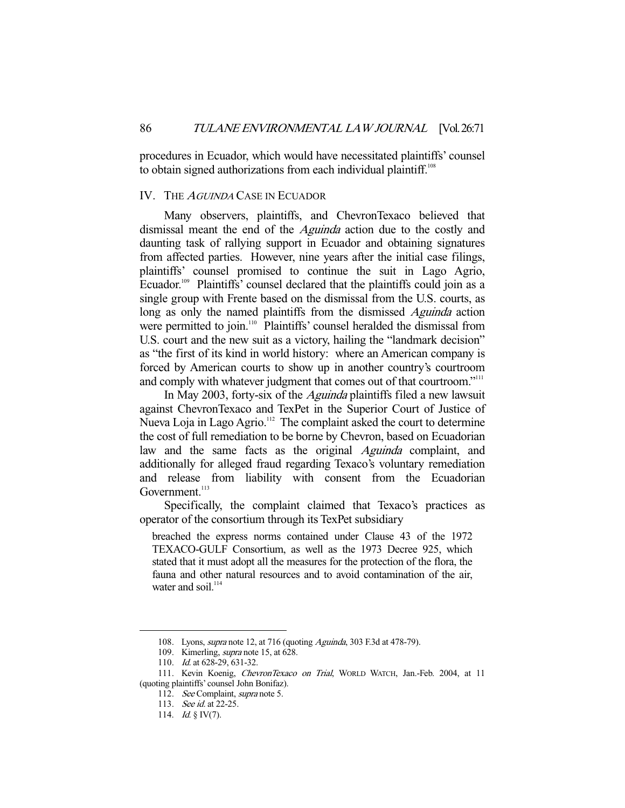procedures in Ecuador, which would have necessitated plaintiffs' counsel to obtain signed authorizations from each individual plaintiff.<sup>108</sup>

#### IV. THE AGUINDA CASE IN ECUADOR

 Many observers, plaintiffs, and ChevronTexaco believed that dismissal meant the end of the Aguinda action due to the costly and daunting task of rallying support in Ecuador and obtaining signatures from affected parties. However, nine years after the initial case filings, plaintiffs' counsel promised to continue the suit in Lago Agrio, Ecuador.<sup>109</sup> Plaintiffs' counsel declared that the plaintiffs could join as a single group with Frente based on the dismissal from the U.S. courts, as long as only the named plaintiffs from the dismissed *Aguinda* action were permitted to join.<sup>110</sup> Plaintiffs' counsel heralded the dismissal from U.S. court and the new suit as a victory, hailing the "landmark decision" as "the first of its kind in world history: where an American company is forced by American courts to show up in another country's courtroom and comply with whatever judgment that comes out of that courtroom."<sup>111</sup>

In May 2003, forty-six of the *Aguinda* plaintiffs filed a new lawsuit against ChevronTexaco and TexPet in the Superior Court of Justice of Nueva Loja in Lago Agrio.<sup>112</sup> The complaint asked the court to determine the cost of full remediation to be borne by Chevron, based on Ecuadorian law and the same facts as the original *Aguinda* complaint, and additionally for alleged fraud regarding Texaco's voluntary remediation and release from liability with consent from the Ecuadorian Government.<sup>113</sup>

 Specifically, the complaint claimed that Texaco's practices as operator of the consortium through its TexPet subsidiary

breached the express norms contained under Clause 43 of the 1972 TEXACO-GULF Consortium, as well as the 1973 Decree 925, which stated that it must adopt all the measures for the protection of the flora, the fauna and other natural resources and to avoid contamination of the air, water and soil.<sup>114</sup>

<sup>108.</sup> Lyons, *supra* note 12, at 716 (quoting Aguinda, 303 F.3d at 478-79).

<sup>109.</sup> Kimerling, *supra* note 15, at 628.

<sup>110.</sup> *Id.* at 628-29, 631-32.

<sup>111.</sup> Kevin Koenig, ChevronTexaco on Trial, WORLD WATCH, Jan.-Feb. 2004, at 11 (quoting plaintiffs' counsel John Bonifaz).

<sup>112.</sup> See Complaint, supra note 5.

<sup>113.</sup> See id. at 22-25.

<sup>114.</sup> *Id.* § IV(7).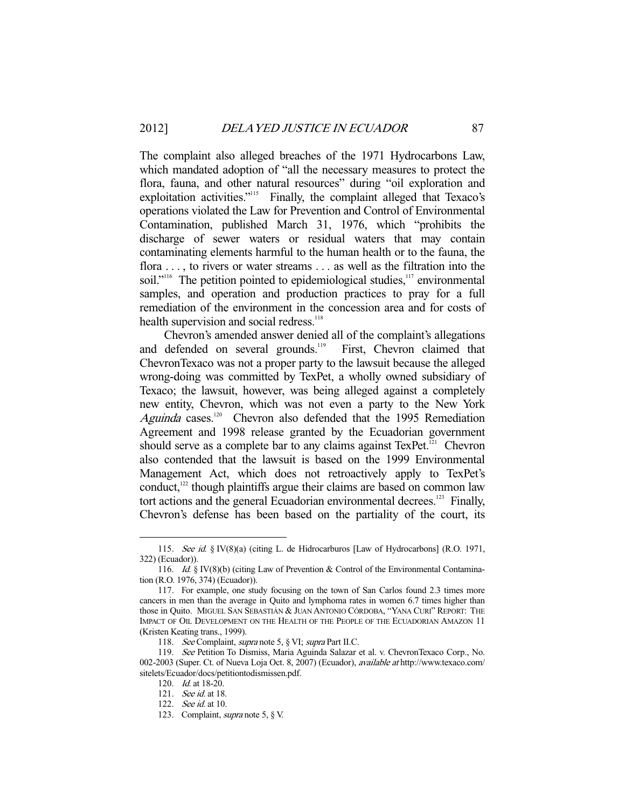The complaint also alleged breaches of the 1971 Hydrocarbons Law, which mandated adoption of "all the necessary measures to protect the flora, fauna, and other natural resources" during "oil exploration and exploitation activities."<sup>115</sup> Finally, the complaint alleged that Texaco's operations violated the Law for Prevention and Control of Environmental Contamination, published March 31, 1976, which "prohibits the discharge of sewer waters or residual waters that may contain contaminating elements harmful to the human health or to the fauna, the flora . . . , to rivers or water streams . . . as well as the filtration into the soil."<sup>116</sup> The petition pointed to epidemiological studies,<sup>117</sup> environmental samples, and operation and production practices to pray for a full remediation of the environment in the concession area and for costs of health supervision and social redress.<sup>118</sup>

 Chevron's amended answer denied all of the complaint's allegations and defended on several grounds.<sup>119</sup> First, Chevron claimed that ChevronTexaco was not a proper party to the lawsuit because the alleged wrong-doing was committed by TexPet, a wholly owned subsidiary of Texaco; the lawsuit, however, was being alleged against a completely new entity, Chevron, which was not even a party to the New York Aguinda cases.<sup>120</sup> Chevron also defended that the 1995 Remediation Agreement and 1998 release granted by the Ecuadorian government should serve as a complete bar to any claims against TexPet.<sup>121</sup> Chevron also contended that the lawsuit is based on the 1999 Environmental Management Act, which does not retroactively apply to TexPet's conduct, $122$  though plaintiffs argue their claims are based on common law tort actions and the general Ecuadorian environmental decrees.<sup>123</sup> Finally, Chevron's defense has been based on the partiality of the court, its

<sup>115.</sup> See id. § IV(8)(a) (citing L. de Hidrocarburos [Law of Hydrocarbons] (R.O. 1971, 322) (Ecuador)).

<sup>116.</sup> Id. § IV(8)(b) (citing Law of Prevention & Control of the Environmental Contamination (R.O. 1976, 374) (Ecuador)).

 <sup>117.</sup> For example, one study focusing on the town of San Carlos found 2.3 times more cancers in men than the average in Quito and lymphoma rates in women 6.7 times higher than those in Quito. MIGUEL SAN SEBASTIÁN & JUAN ANTONIO CÓRDOBA, "YANA CURI" REPORT: THE IMPACT OF OIL DEVELOPMENT ON THE HEALTH OF THE PEOPLE OF THE ECUADORIAN AMAZON 11 (Kristen Keating trans., 1999).

<sup>118.</sup> See Complaint, supra note 5, § VI; supra Part II.C.

 <sup>119.</sup> See Petition To Dismiss, Maria Aguinda Salazar et al. v. ChevronTexaco Corp., No. 002-2003 (Super. Ct. of Nueva Loja Oct. 8, 2007) (Ecuador), available at http://www.texaco.com/ sitelets/Ecuador/docs/petitiontodismissen.pdf.

 <sup>120.</sup> Id. at 18-20.

 <sup>121.</sup> See id. at 18.

 <sup>122.</sup> See id. at 10.

 <sup>123.</sup> Complaint, supra note 5, § V.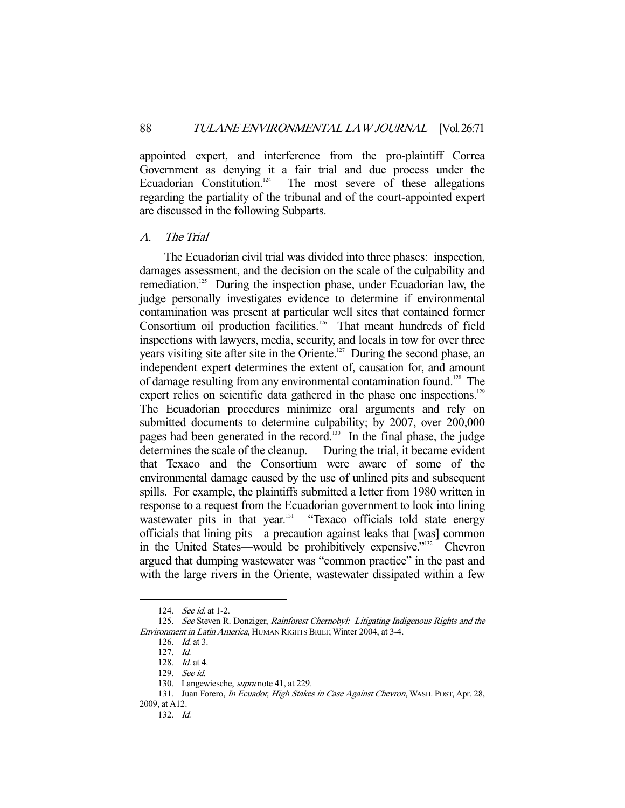appointed expert, and interference from the pro-plaintiff Correa Government as denying it a fair trial and due process under the Ecuadorian Constitution. $124$  The most severe of these allegations regarding the partiality of the tribunal and of the court-appointed expert are discussed in the following Subparts.

#### A. The Trial

 The Ecuadorian civil trial was divided into three phases: inspection, damages assessment, and the decision on the scale of the culpability and remediation.<sup>125</sup> During the inspection phase, under Ecuadorian law, the judge personally investigates evidence to determine if environmental contamination was present at particular well sites that contained former Consortium oil production facilities.<sup>126</sup> That meant hundreds of field inspections with lawyers, media, security, and locals in tow for over three years visiting site after site in the Oriente.<sup>127</sup> During the second phase, an independent expert determines the extent of, causation for, and amount of damage resulting from any environmental contamination found.<sup>128</sup> The expert relies on scientific data gathered in the phase one inspections.<sup>129</sup> The Ecuadorian procedures minimize oral arguments and rely on submitted documents to determine culpability; by 2007, over 200,000 pages had been generated in the record.<sup>130</sup> In the final phase, the judge determines the scale of the cleanup. During the trial, it became evident that Texaco and the Consortium were aware of some of the environmental damage caused by the use of unlined pits and subsequent spills. For example, the plaintiffs submitted a letter from 1980 written in response to a request from the Ecuadorian government to look into lining wastewater pits in that year.<sup>131</sup> "Texaco officials told state energy officials that lining pits—a precaution against leaks that [was] common in the United States—would be prohibitively expensive."132 Chevron argued that dumping wastewater was "common practice" in the past and with the large rivers in the Oriente, wastewater dissipated within a few

<sup>124.</sup> *See id.* at 1-2.

<sup>125.</sup> See Steven R. Donziger, Rainforest Chernobyl: Litigating Indigenous Rights and the Environment in Latin America, HUMAN RIGHTS BRIEF, Winter 2004, at 3-4.

 <sup>126.</sup> Id. at 3.

 <sup>127.</sup> Id.

 <sup>128.</sup> Id. at 4.

 <sup>129.</sup> See id.

 <sup>130.</sup> Langewiesche, supra note 41, at 229.

<sup>131.</sup> Juan Forero, In Ecuador, High Stakes in Case Against Chevron, WASH. POST, Apr. 28, 2009, at A12.

 <sup>132.</sup> Id.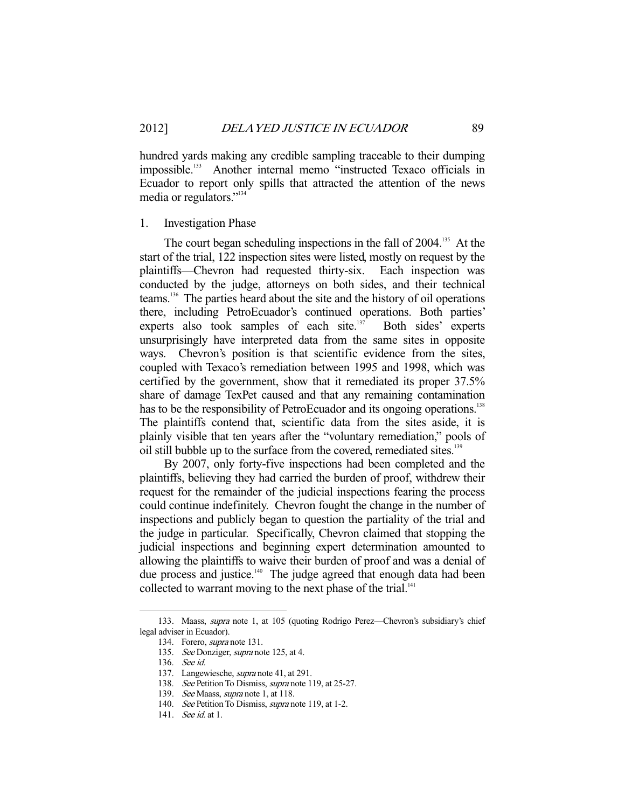hundred yards making any credible sampling traceable to their dumping impossible.<sup>133</sup> Another internal memo "instructed Texaco officials in Ecuador to report only spills that attracted the attention of the news media or regulators."134

### 1. Investigation Phase

The court began scheduling inspections in the fall of 2004.<sup>135</sup> At the start of the trial, 122 inspection sites were listed, mostly on request by the plaintiffs—Chevron had requested thirty-six. Each inspection was conducted by the judge, attorneys on both sides, and their technical teams.136 The parties heard about the site and the history of oil operations there, including PetroEcuador's continued operations. Both parties' experts also took samples of each site.<sup>137</sup> Both sides' experts unsurprisingly have interpreted data from the same sites in opposite ways. Chevron's position is that scientific evidence from the sites, coupled with Texaco's remediation between 1995 and 1998, which was certified by the government, show that it remediated its proper 37.5% share of damage TexPet caused and that any remaining contamination has to be the responsibility of PetroEcuador and its ongoing operations.<sup>138</sup> The plaintiffs contend that, scientific data from the sites aside, it is plainly visible that ten years after the "voluntary remediation," pools of oil still bubble up to the surface from the covered, remediated sites.<sup>139</sup>

 By 2007, only forty-five inspections had been completed and the plaintiffs, believing they had carried the burden of proof, withdrew their request for the remainder of the judicial inspections fearing the process could continue indefinitely. Chevron fought the change in the number of inspections and publicly began to question the partiality of the trial and the judge in particular. Specifically, Chevron claimed that stopping the judicial inspections and beginning expert determination amounted to allowing the plaintiffs to waive their burden of proof and was a denial of due process and justice.<sup>140</sup> The judge agreed that enough data had been collected to warrant moving to the next phase of the trial.<sup>141</sup>

 <sup>133.</sup> Maass, supra note 1, at 105 (quoting Rodrigo Perez—Chevron's subsidiary's chief legal adviser in Ecuador).

 <sup>134.</sup> Forero, supra note 131.

<sup>135.</sup> See Donziger, supra note 125, at 4.

 <sup>136.</sup> See id.

 <sup>137.</sup> Langewiesche, supra note 41, at 291.

<sup>138.</sup> See Petition To Dismiss, *supra* note 119, at 25-27.

<sup>139.</sup> See Maass, *supra* note 1, at 118.

<sup>140.</sup> See Petition To Dismiss, *supra* note 119, at 1-2.

<sup>141.</sup> *See id.* at 1.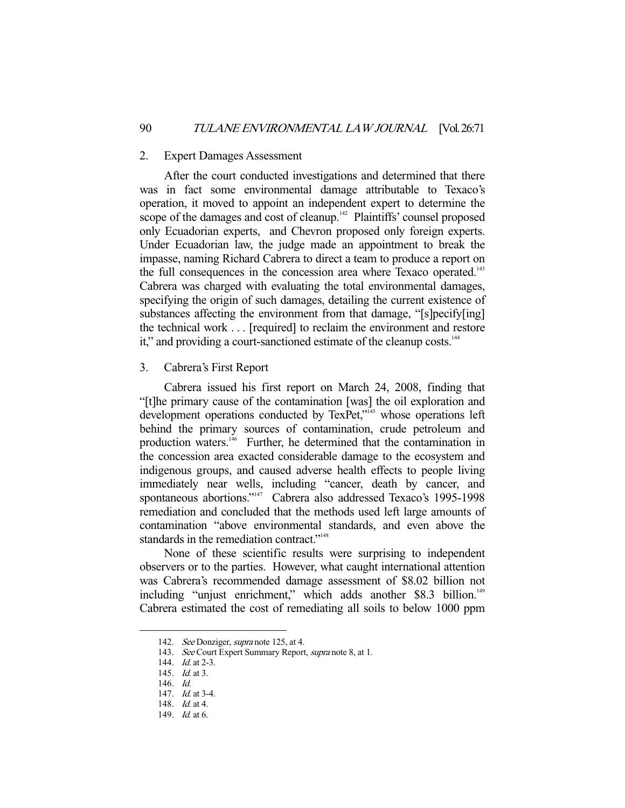#### 2. Expert Damages Assessment

 After the court conducted investigations and determined that there was in fact some environmental damage attributable to Texaco's operation, it moved to appoint an independent expert to determine the scope of the damages and cost of cleanup.<sup>142</sup> Plaintiffs' counsel proposed only Ecuadorian experts, and Chevron proposed only foreign experts. Under Ecuadorian law, the judge made an appointment to break the impasse, naming Richard Cabrera to direct a team to produce a report on the full consequences in the concession area where Texaco operated.<sup>143</sup> Cabrera was charged with evaluating the total environmental damages, specifying the origin of such damages, detailing the current existence of substances affecting the environment from that damage, "[s]pecify[ing] the technical work . . . [required] to reclaim the environment and restore it," and providing a court-sanctioned estimate of the cleanup costs.<sup>144</sup>

## 3. Cabrera's First Report

 Cabrera issued his first report on March 24, 2008, finding that "[t]he primary cause of the contamination [was] the oil exploration and development operations conducted by TexPet,"<sup>145</sup> whose operations left behind the primary sources of contamination, crude petroleum and production waters.<sup>146</sup> Further, he determined that the contamination in the concession area exacted considerable damage to the ecosystem and indigenous groups, and caused adverse health effects to people living immediately near wells, including "cancer, death by cancer, and spontaneous abortions."<sup>147</sup> Cabrera also addressed Texaco's 1995-1998 remediation and concluded that the methods used left large amounts of contamination "above environmental standards, and even above the standards in the remediation contract."<sup>148</sup>

 None of these scientific results were surprising to independent observers or to the parties. However, what caught international attention was Cabrera's recommended damage assessment of \$8.02 billion not including "unjust enrichment," which adds another \$8.3 billion.<sup>149</sup> Cabrera estimated the cost of remediating all soils to below 1000 ppm

<sup>142.</sup> See Donziger, supra note 125, at 4.

<sup>143.</sup> See Court Expert Summary Report, supra note 8, at 1.

<sup>144.</sup> *Id.* at 2-3.

<sup>145.</sup> *Id.* at 3.

 <sup>146.</sup> Id.

<sup>147.</sup> *Id.* at 3-4.

 <sup>148.</sup> Id. at 4.

 <sup>149.</sup> Id. at 6.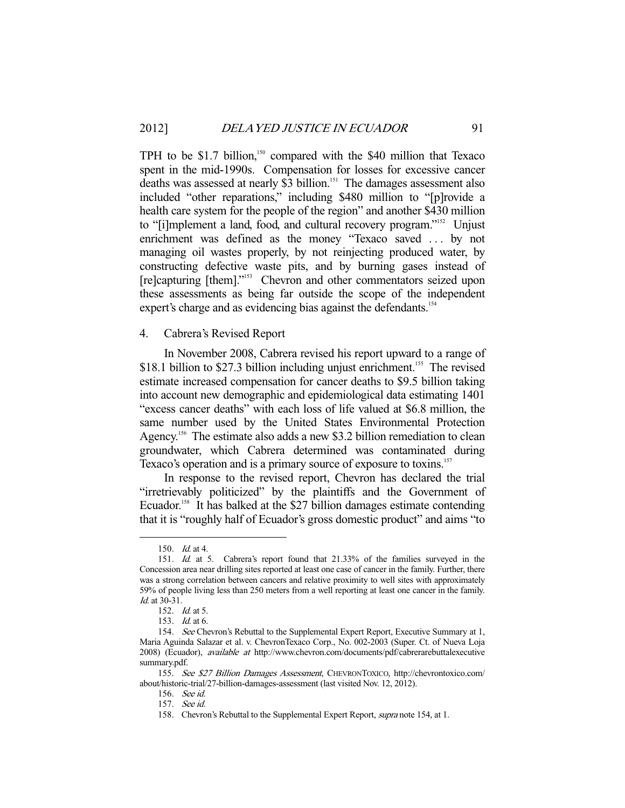TPH to be \$1.7 billion,<sup>150</sup> compared with the \$40 million that Texaco spent in the mid-1990s. Compensation for losses for excessive cancer deaths was assessed at nearly \$3 billion.<sup>151</sup> The damages assessment also included "other reparations," including \$480 million to "[p]rovide a health care system for the people of the region" and another \$430 million to "[i]mplement a land, food, and cultural recovery program."<sup>152</sup> Unjust enrichment was defined as the money "Texaco saved . . . by not managing oil wastes properly, by not reinjecting produced water, by constructing defective waste pits, and by burning gases instead of [re]capturing [them]."<sup>153</sup> Chevron and other commentators seized upon these assessments as being far outside the scope of the independent expert's charge and as evidencing bias against the defendants.<sup>154</sup>

#### 4. Cabrera's Revised Report

 In November 2008, Cabrera revised his report upward to a range of \$18.1 billion to \$27.3 billion including unjust enrichment.<sup>155</sup> The revised estimate increased compensation for cancer deaths to \$9.5 billion taking into account new demographic and epidemiological data estimating 1401 "excess cancer deaths" with each loss of life valued at \$6.8 million, the same number used by the United States Environmental Protection Agency.<sup>156</sup> The estimate also adds a new \$3.2 billion remediation to clean groundwater, which Cabrera determined was contaminated during Texaco's operation and is a primary source of exposure to toxins.<sup>157</sup>

 In response to the revised report, Chevron has declared the trial "irretrievably politicized" by the plaintiffs and the Government of Ecuador.<sup>158</sup> It has balked at the \$27 billion damages estimate contending that it is "roughly half of Ecuador's gross domestic product" and aims "to

 <sup>150.</sup> Id. at 4.

 <sup>151.</sup> Id. at 5. Cabrera's report found that 21.33% of the families surveyed in the Concession area near drilling sites reported at least one case of cancer in the family. Further, there was a strong correlation between cancers and relative proximity to well sites with approximately 59% of people living less than 250 meters from a well reporting at least one cancer in the family. Id. at 30-31.

 <sup>152.</sup> Id. at 5.

 <sup>153.</sup> Id. at 6.

<sup>154.</sup> See Chevron's Rebuttal to the Supplemental Expert Report, Executive Summary at 1, Maria Aguinda Salazar et al. v. ChevronTexaco Corp., No. 002-2003 (Super. Ct. of Nueva Loja 2008) (Ecuador), available at http://www.chevron.com/documents/pdf/cabrerarebuttalexecutive summary.pdf.

 <sup>155.</sup> See \$27 Billion Damages Assessment, CHEVRONTOXICO, http://chevrontoxico.com/ about/historic-trial/27-billion-damages-assessment (last visited Nov. 12, 2012).

 <sup>156.</sup> See id.

 <sup>157.</sup> See id.

<sup>158.</sup> Chevron's Rebuttal to the Supplemental Expert Report, *supra* note 154, at 1.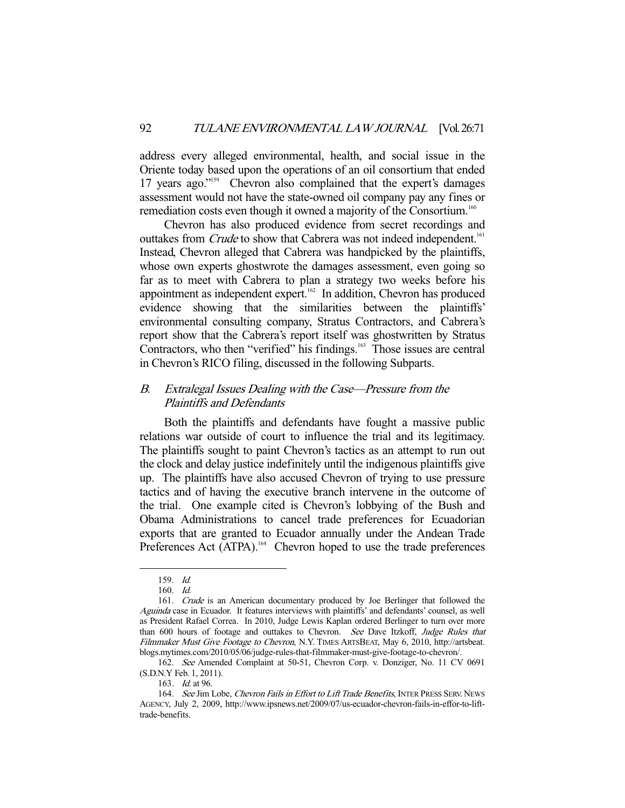address every alleged environmental, health, and social issue in the Oriente today based upon the operations of an oil consortium that ended 17 years ago."<sup>159</sup> Chevron also complained that the expert's damages assessment would not have the state-owned oil company pay any fines or remediation costs even though it owned a majority of the Consortium.<sup>160</sup>

 Chevron has also produced evidence from secret recordings and outtakes from *Crude* to show that Cabrera was not indeed independent.<sup>161</sup> Instead, Chevron alleged that Cabrera was handpicked by the plaintiffs, whose own experts ghostwrote the damages assessment, even going so far as to meet with Cabrera to plan a strategy two weeks before his appointment as independent expert.162 In addition, Chevron has produced evidence showing that the similarities between the plaintiffs' environmental consulting company, Stratus Contractors, and Cabrera's report show that the Cabrera's report itself was ghostwritten by Stratus Contractors, who then "verified" his findings.<sup>163</sup> Those issues are central in Chevron's RICO filing, discussed in the following Subparts.

## B. Extralegal Issues Dealing with the Case—Pressure from the Plaintiffs and Defendants

 Both the plaintiffs and defendants have fought a massive public relations war outside of court to influence the trial and its legitimacy. The plaintiffs sought to paint Chevron's tactics as an attempt to run out the clock and delay justice indefinitely until the indigenous plaintiffs give up. The plaintiffs have also accused Chevron of trying to use pressure tactics and of having the executive branch intervene in the outcome of the trial. One example cited is Chevron's lobbying of the Bush and Obama Administrations to cancel trade preferences for Ecuadorian exports that are granted to Ecuador annually under the Andean Trade Preferences Act  $\overline{(ATPA)}$ .<sup>164</sup> Chevron hoped to use the trade preferences

 <sup>159.</sup> Id.

 <sup>160.</sup> Id.

<sup>161.</sup> Crude is an American documentary produced by Joe Berlinger that followed the Aguinda case in Ecuador. It features interviews with plaintiffs' and defendants' counsel, as well as President Rafael Correa. In 2010, Judge Lewis Kaplan ordered Berlinger to turn over more than 600 hours of footage and outtakes to Chevron. See Dave Itzkoff, Judge Rules that Filmmaker Must Give Footage to Chevron, N.Y. TIMES ARTSBEAT, May 6, 2010, http://artsbeat. blogs.mytimes.com/2010/05/06/judge-rules-that-filmmaker-must-give-footage-to-chevron/.

 <sup>162.</sup> See Amended Complaint at 50-51, Chevron Corp. v. Donziger, No. 11 CV 0691 (S.D.N.Y Feb. 1, 2011).

 <sup>163.</sup> Id. at 96.

<sup>164.</sup> See Jim Lobe, Chevron Fails in Effort to Lift Trade Benefits, INTER PRESS SERV. NEWS AGENCY, July 2, 2009, http://www.ipsnews.net/2009/07/us-ecuador-chevron-fails-in-effor-to-lifttrade-benefits.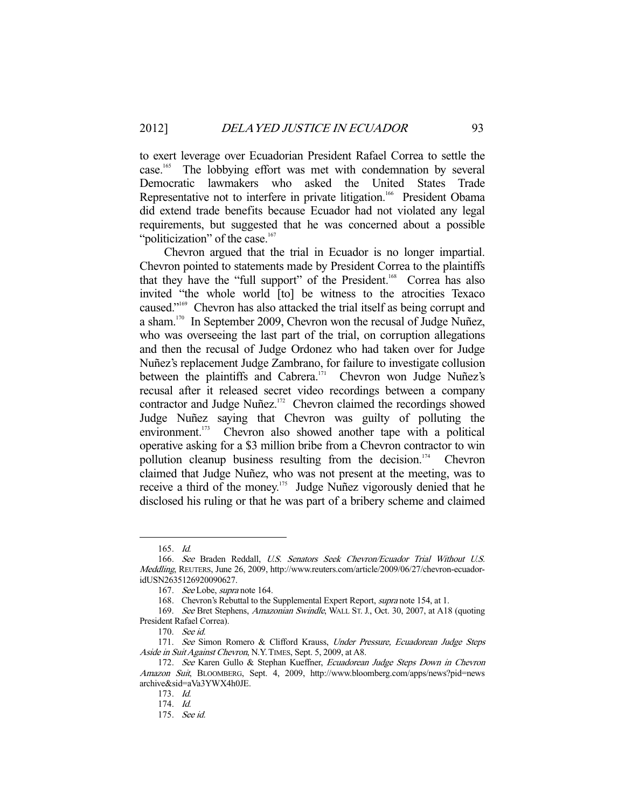to exert leverage over Ecuadorian President Rafael Correa to settle the case.<sup>165</sup> The lobbying effort was met with condemnation by several Democratic lawmakers who asked the United States Trade Representative not to interfere in private litigation.<sup>166</sup> President Obama did extend trade benefits because Ecuador had not violated any legal requirements, but suggested that he was concerned about a possible "politicization" of the case. $167$ 

 Chevron argued that the trial in Ecuador is no longer impartial. Chevron pointed to statements made by President Correa to the plaintiffs that they have the "full support" of the President.<sup>168</sup> Correa has also invited "the whole world [to] be witness to the atrocities Texaco caused."169 Chevron has also attacked the trial itself as being corrupt and a sham.<sup>170</sup> In September 2009, Chevron won the recusal of Judge Nuñez, who was overseeing the last part of the trial, on corruption allegations and then the recusal of Judge Ordonez who had taken over for Judge Nuñez's replacement Judge Zambrano, for failure to investigate collusion between the plaintiffs and Cabrera.<sup>171</sup> Chevron won Judge Nuñez's recusal after it released secret video recordings between a company contractor and Judge Nuñez.<sup>172</sup> Chevron claimed the recordings showed Judge Nuñez saying that Chevron was guilty of polluting the environment.<sup>173</sup> Chevron also showed another tape with a political operative asking for a \$3 million bribe from a Chevron contractor to win pollution cleanup business resulting from the decision.<sup>174</sup> Chevron claimed that Judge Nuñez, who was not present at the meeting, was to receive a third of the money.<sup>175</sup> Judge Nuñez vigorously denied that he disclosed his ruling or that he was part of a bribery scheme and claimed

 <sup>165.</sup> Id.

 <sup>166.</sup> See Braden Reddall, U.S. Senators Seek Chevron/Ecuador Trial Without U.S. Meddling, REUTERS, June 26, 2009, http://www.reuters.com/article/2009/06/27/chevron-ecuadoridUSN2635126920090627.

 <sup>167.</sup> See Lobe, supra note 164.

<sup>168.</sup> Chevron's Rebuttal to the Supplemental Expert Report, *supra* note 154, at 1.

 <sup>169.</sup> See Bret Stephens, Amazonian Swindle, WALL ST. J., Oct. 30, 2007, at A18 (quoting President Rafael Correa).

 <sup>170.</sup> See id.

<sup>171.</sup> See Simon Romero & Clifford Krauss, Under Pressure, Ecuadorean Judge Steps Aside in Suit Against Chevron, N.Y.TIMES, Sept. 5, 2009, at A8.

<sup>172.</sup> See Karen Gullo & Stephan Kueffner, Ecuadorean Judge Steps Down in Chevron Amazon Suit, BLOOMBERG, Sept. 4, 2009, http://www.bloomberg.com/apps/news?pid=news archive&sid=aVa3YWX4h0JE.

 <sup>173.</sup> Id.

 <sup>174.</sup> Id.

 <sup>175.</sup> See id.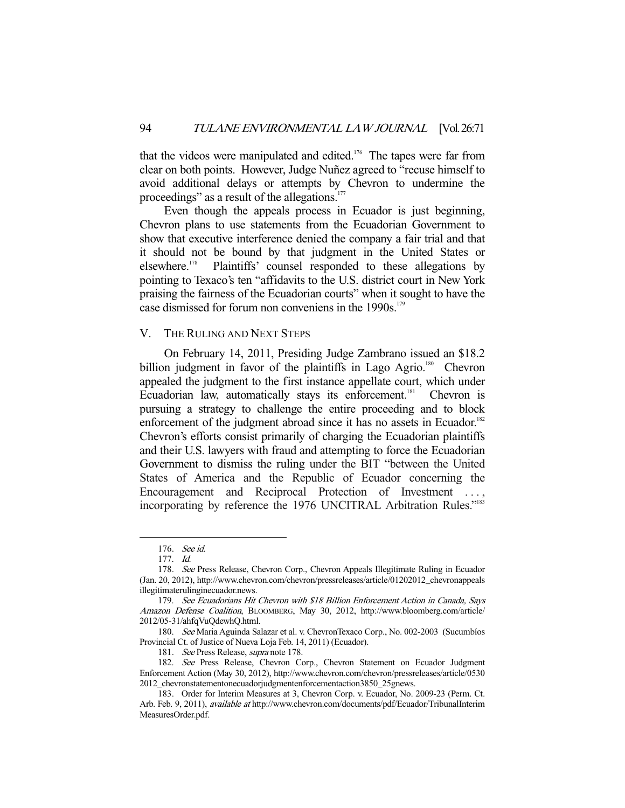that the videos were manipulated and edited.<sup>176</sup> The tapes were far from clear on both points. However, Judge Nuñez agreed to "recuse himself to avoid additional delays or attempts by Chevron to undermine the proceedings" as a result of the allegations.<sup>177</sup>

 Even though the appeals process in Ecuador is just beginning, Chevron plans to use statements from the Ecuadorian Government to show that executive interference denied the company a fair trial and that it should not be bound by that judgment in the United States or elsewhere.178 Plaintiffs' counsel responded to these allegations by pointing to Texaco's ten "affidavits to the U.S. district court in New York praising the fairness of the Ecuadorian courts" when it sought to have the case dismissed for forum non conveniens in the 1990s.<sup>179</sup>

## V. THE RULING AND NEXT STEPS

 On February 14, 2011, Presiding Judge Zambrano issued an \$18.2 billion judgment in favor of the plaintiffs in Lago Agrio.<sup>180</sup> Chevron appealed the judgment to the first instance appellate court, which under Ecuadorian law, automatically stays its enforcement.<sup>181</sup> Chevron is pursuing a strategy to challenge the entire proceeding and to block enforcement of the judgment abroad since it has no assets in Ecuador.<sup>182</sup> Chevron's efforts consist primarily of charging the Ecuadorian plaintiffs and their U.S. lawyers with fraud and attempting to force the Ecuadorian Government to dismiss the ruling under the BIT "between the United States of America and the Republic of Ecuador concerning the Encouragement and Reciprocal Protection of Investment ..., incorporating by reference the 1976 UNCITRAL Arbitration Rules."<sup>183</sup>

 <sup>176.</sup> See id.

 <sup>177.</sup> Id.

 <sup>178.</sup> See Press Release, Chevron Corp., Chevron Appeals Illegitimate Ruling in Ecuador (Jan. 20, 2012), http://www.chevron.com/chevron/pressreleases/article/01202012\_chevronappeals illegitimaterulinginecuador.news.

 <sup>179.</sup> See Ecuadorians Hit Chevron with \$18 Billion Enforcement Action in Canada, Says Amazon Defense Coalition, BLOOMBERG, May 30, 2012, http://www.bloomberg.com/article/ 2012/05-31/ahfqVuQdewhQ.html.

 <sup>180.</sup> See Maria Aguinda Salazar et al. v. ChevronTexaco Corp., No. 002-2003 (Sucumbíos Provincial Ct. of Justice of Nueva Loja Feb. 14, 2011) (Ecuador).

 <sup>181.</sup> See Press Release, supra note 178.

 <sup>182.</sup> See Press Release, Chevron Corp., Chevron Statement on Ecuador Judgment Enforcement Action (May 30, 2012), http://www.chevron.com/chevron/pressreleases/article/0530 2012\_chevronstatementonecuadorjudgmentenforcementaction3850\_25gnews.

 <sup>183.</sup> Order for Interim Measures at 3, Chevron Corp. v. Ecuador, No. 2009-23 (Perm. Ct. Arb. Feb. 9, 2011), available at http://www.chevron.com/documents/pdf/Ecuador/TribunalInterim MeasuresOrder.pdf.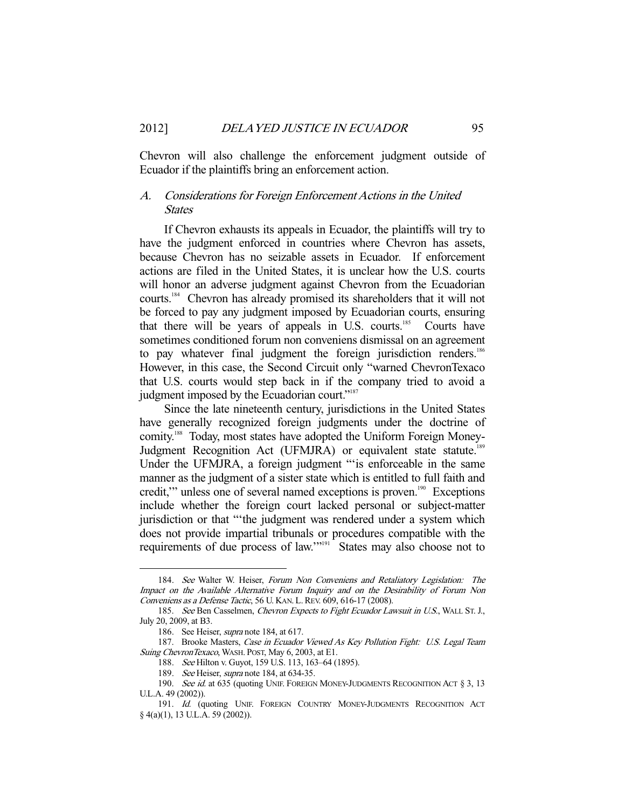Chevron will also challenge the enforcement judgment outside of Ecuador if the plaintiffs bring an enforcement action.

## A. Considerations for Foreign Enforcement Actions in the United States

 If Chevron exhausts its appeals in Ecuador, the plaintiffs will try to have the judgment enforced in countries where Chevron has assets, because Chevron has no seizable assets in Ecuador. If enforcement actions are filed in the United States, it is unclear how the U.S. courts will honor an adverse judgment against Chevron from the Ecuadorian courts.184 Chevron has already promised its shareholders that it will not be forced to pay any judgment imposed by Ecuadorian courts, ensuring that there will be years of appeals in U.S. courts.<sup>185</sup> Courts have sometimes conditioned forum non conveniens dismissal on an agreement to pay whatever final judgment the foreign jurisdiction renders.<sup>186</sup> However, in this case, the Second Circuit only "warned ChevronTexaco that U.S. courts would step back in if the company tried to avoid a judgment imposed by the Ecuadorian court."<sup>187</sup>

 Since the late nineteenth century, jurisdictions in the United States have generally recognized foreign judgments under the doctrine of comity.<sup>188</sup> Today, most states have adopted the Uniform Foreign Money-Judgment Recognition Act (UFMJRA) or equivalent state statute.<sup>189</sup> Under the UFMJRA, a foreign judgment "'is enforceable in the same manner as the judgment of a sister state which is entitled to full faith and credit," unless one of several named exceptions is proven.<sup>190</sup> Exceptions include whether the foreign court lacked personal or subject-matter jurisdiction or that "'the judgment was rendered under a system which does not provide impartial tribunals or procedures compatible with the requirements of due process of law.'"191 States may also choose not to

 <sup>184.</sup> See Walter W. Heiser, Forum Non Conveniens and Retaliatory Legislation: The Impact on the Available Alternative Forum Inquiry and on the Desirability of Forum Non Conveniens as a Defense Tactic, 56 U. KAN. L. REV. 609, 616-17 (2008).

<sup>185.</sup> See Ben Casselmen, Chevron Expects to Fight Ecuador Lawsuit in U.S., WALL ST. J., July 20, 2009, at B3.

<sup>186.</sup> See Heiser, *supra* note 184, at 617.

<sup>187.</sup> Brooke Masters, Case in Ecuador Viewed As Key Pollution Fight: U.S. Legal Team Suing ChevronTexaco, WASH. POST, May 6, 2003, at E1.

 <sup>188.</sup> See Hilton v. Guyot, 159 U.S. 113, 163–64 (1895).

<sup>189.</sup> See Heiser, *supra* note 184, at 634-35.

<sup>190.</sup> See id. at 635 (quoting UNIF. FOREIGN MONEY-JUDGMENTS RECOGNITION ACT § 3, 13 U.L.A. 49 (2002)).

<sup>191.</sup> Id. (quoting UNIF. FOREIGN COUNTRY MONEY-JUDGMENTS RECOGNITION ACT § 4(a)(1), 13 U.L.A. 59 (2002)).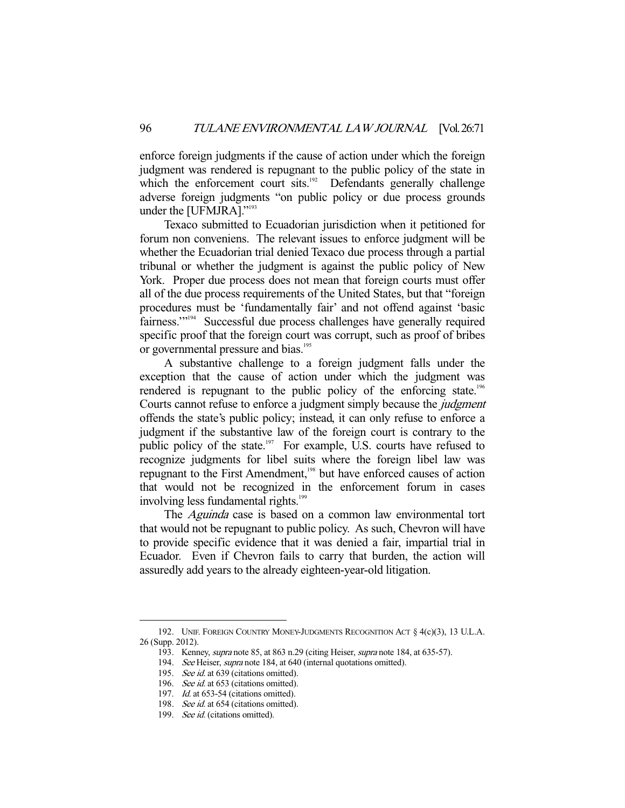enforce foreign judgments if the cause of action under which the foreign judgment was rendered is repugnant to the public policy of the state in which the enforcement court sits.<sup>192</sup> Defendants generally challenge adverse foreign judgments "on public policy or due process grounds under the [UFMJRA]."193

 Texaco submitted to Ecuadorian jurisdiction when it petitioned for forum non conveniens. The relevant issues to enforce judgment will be whether the Ecuadorian trial denied Texaco due process through a partial tribunal or whether the judgment is against the public policy of New York. Proper due process does not mean that foreign courts must offer all of the due process requirements of the United States, but that "foreign procedures must be 'fundamentally fair' and not offend against 'basic fairness.'"194 Successful due process challenges have generally required specific proof that the foreign court was corrupt, such as proof of bribes or governmental pressure and bias.<sup>195</sup>

 A substantive challenge to a foreign judgment falls under the exception that the cause of action under which the judgment was rendered is repugnant to the public policy of the enforcing state.<sup>196</sup> Courts cannot refuse to enforce a judgment simply because the judgment offends the state's public policy; instead, it can only refuse to enforce a judgment if the substantive law of the foreign court is contrary to the public policy of the state.<sup>197</sup> For example, U.S. courts have refused to recognize judgments for libel suits where the foreign libel law was repugnant to the First Amendment,<sup>198</sup> but have enforced causes of action that would not be recognized in the enforcement forum in cases involving less fundamental rights.<sup>199</sup>

The *Aguinda* case is based on a common law environmental tort that would not be repugnant to public policy. As such, Chevron will have to provide specific evidence that it was denied a fair, impartial trial in Ecuador. Even if Chevron fails to carry that burden, the action will assuredly add years to the already eighteen-year-old litigation.

 <sup>192.</sup> UNIF. FOREIGN COUNTRY MONEY-JUDGMENTS RECOGNITION ACT § 4(c)(3), 13 U.L.A. 26 (Supp. 2012).

 <sup>193.</sup> Kenney, supra note 85, at 863 n.29 (citing Heiser, supra note 184, at 635-57).

<sup>194.</sup> See Heiser, supra note 184, at 640 (internal quotations omitted).

<sup>195.</sup> See id. at 639 (citations omitted).

<sup>196.</sup> See id. at 653 (citations omitted).

<sup>197.</sup> *Id.* at 653-54 (citations omitted).

<sup>198.</sup> See id. at 654 (citations omitted).

<sup>199.</sup> See id. (citations omitted).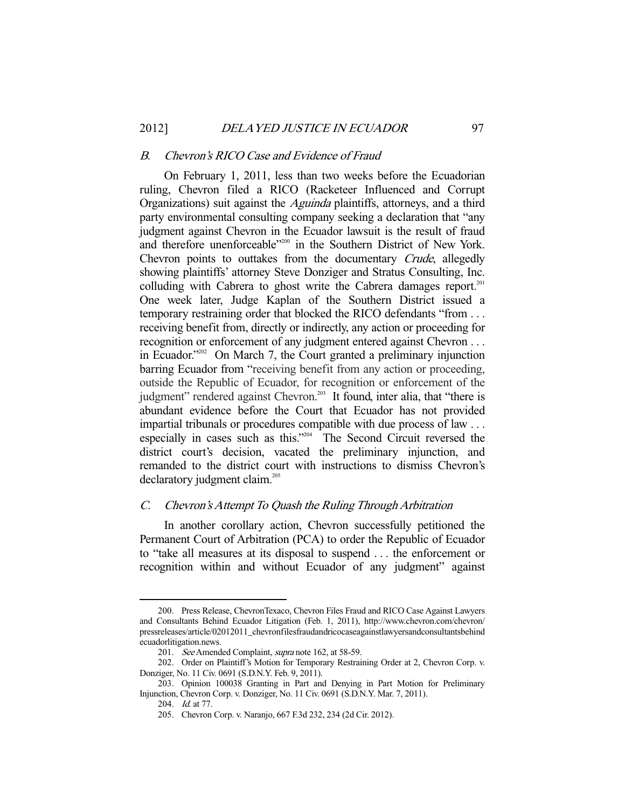#### B. Chevron's RICO Case and Evidence of Fraud

 On February 1, 2011, less than two weeks before the Ecuadorian ruling, Chevron filed a RICO (Racketeer Influenced and Corrupt Organizations) suit against the Aguinda plaintiffs, attorneys, and a third party environmental consulting company seeking a declaration that "any judgment against Chevron in the Ecuador lawsuit is the result of fraud and therefore unenforceable"<sup>200</sup> in the Southern District of New York. Chevron points to outtakes from the documentary Crude, allegedly showing plaintiffs' attorney Steve Donziger and Stratus Consulting, Inc. colluding with Cabrera to ghost write the Cabrera damages report.<sup>201</sup> One week later, Judge Kaplan of the Southern District issued a temporary restraining order that blocked the RICO defendants "from . . . receiving benefit from, directly or indirectly, any action or proceeding for recognition or enforcement of any judgment entered against Chevron . . . in Ecuador."202 On March 7, the Court granted a preliminary injunction barring Ecuador from "receiving benefit from any action or proceeding, outside the Republic of Ecuador, for recognition or enforcement of the judgment" rendered against Chevron. 203 It found, inter alia, that "there is abundant evidence before the Court that Ecuador has not provided impartial tribunals or procedures compatible with due process of law . . . especially in cases such as this."<sup>204</sup> The Second Circuit reversed the district court's decision, vacated the preliminary injunction, and remanded to the district court with instructions to dismiss Chevron's declaratory judgment claim.<sup>205</sup>

## C. Chevron's Attempt To Quash the Ruling Through Arbitration

 In another corollary action, Chevron successfully petitioned the Permanent Court of Arbitration (PCA) to order the Republic of Ecuador to "take all measures at its disposal to suspend . . . the enforcement or recognition within and without Ecuador of any judgment" against

 <sup>200.</sup> Press Release, ChevronTexaco, Chevron Files Fraud and RICO Case Against Lawyers and Consultants Behind Ecuador Litigation (Feb. 1, 2011), http://www.chevron.com/chevron/ pressreleases/article/02012011\_chevronfilesfraudandricocaseagainstlawyersandconsultantsbehind ecuadorlitigation.news.

<sup>201.</sup> See Amended Complaint, supra note 162, at 58-59.

 <sup>202.</sup> Order on Plaintiff's Motion for Temporary Restraining Order at 2, Chevron Corp. v. Donziger, No. 11 Civ. 0691 (S.D.N.Y. Feb. 9, 2011).

 <sup>203.</sup> Opinion 100038 Granting in Part and Denying in Part Motion for Preliminary Injunction, Chevron Corp. v. Donziger, No. 11 Civ. 0691 (S.D.N.Y. Mar. 7, 2011).

 <sup>204.</sup> Id. at 77.

 <sup>205.</sup> Chevron Corp. v. Naranjo, 667 F.3d 232, 234 (2d Cir. 2012).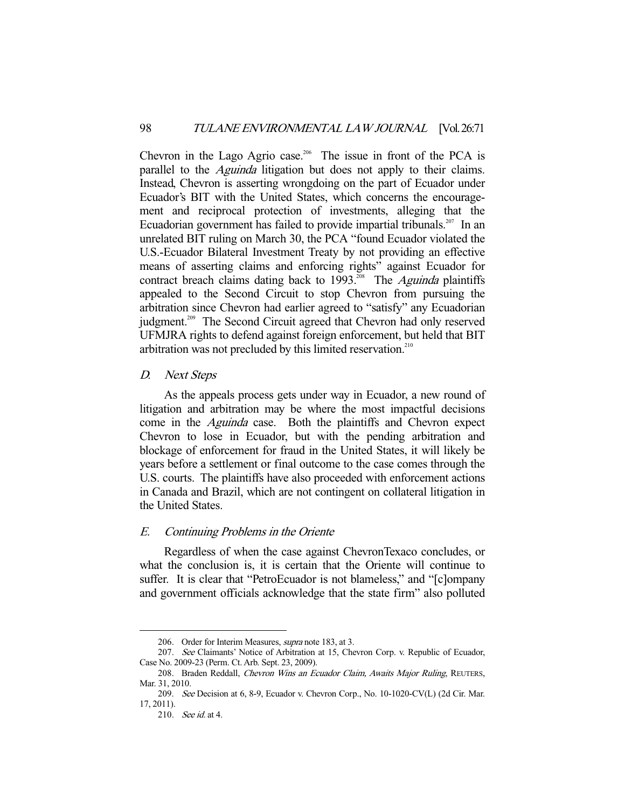Chevron in the Lago Agrio case.<sup>206</sup> The issue in front of the PCA is parallel to the Aguinda litigation but does not apply to their claims. Instead, Chevron is asserting wrongdoing on the part of Ecuador under Ecuador's BIT with the United States, which concerns the encouragement and reciprocal protection of investments, alleging that the Ecuadorian government has failed to provide impartial tribunals.<sup>207</sup> In an unrelated BIT ruling on March 30, the PCA "found Ecuador violated the U.S.-Ecuador Bilateral Investment Treaty by not providing an effective means of asserting claims and enforcing rights" against Ecuador for contract breach claims dating back to  $1993$ <sup>208</sup> The *Aguinda* plaintiffs appealed to the Second Circuit to stop Chevron from pursuing the arbitration since Chevron had earlier agreed to "satisfy" any Ecuadorian judgment.<sup>209</sup> The Second Circuit agreed that Chevron had only reserved UFMJRA rights to defend against foreign enforcement, but held that BIT arbitration was not precluded by this limited reservation. $210$ 

## D. Next Steps

 As the appeals process gets under way in Ecuador, a new round of litigation and arbitration may be where the most impactful decisions come in the Aguinda case. Both the plaintiffs and Chevron expect Chevron to lose in Ecuador, but with the pending arbitration and blockage of enforcement for fraud in the United States, it will likely be years before a settlement or final outcome to the case comes through the U.S. courts. The plaintiffs have also proceeded with enforcement actions in Canada and Brazil, which are not contingent on collateral litigation in the United States.

#### E. Continuing Problems in the Oriente

 Regardless of when the case against ChevronTexaco concludes, or what the conclusion is, it is certain that the Oriente will continue to suffer. It is clear that "PetroEcuador is not blameless," and "[c]ompany and government officials acknowledge that the state firm" also polluted

 <sup>206.</sup> Order for Interim Measures, supra note 183, at 3.

 <sup>207.</sup> See Claimants' Notice of Arbitration at 15, Chevron Corp. v. Republic of Ecuador, Case No. 2009-23 (Perm. Ct. Arb. Sept. 23, 2009).

<sup>208.</sup> Braden Reddall, Chevron Wins an Ecuador Claim, Awaits Major Ruling, REUTERS, Mar. 31, 2010.

 <sup>209.</sup> See Decision at 6, 8-9, Ecuador v. Chevron Corp., No. 10-1020-CV(L) (2d Cir. Mar. 17, 2011).

 <sup>210.</sup> See id. at 4.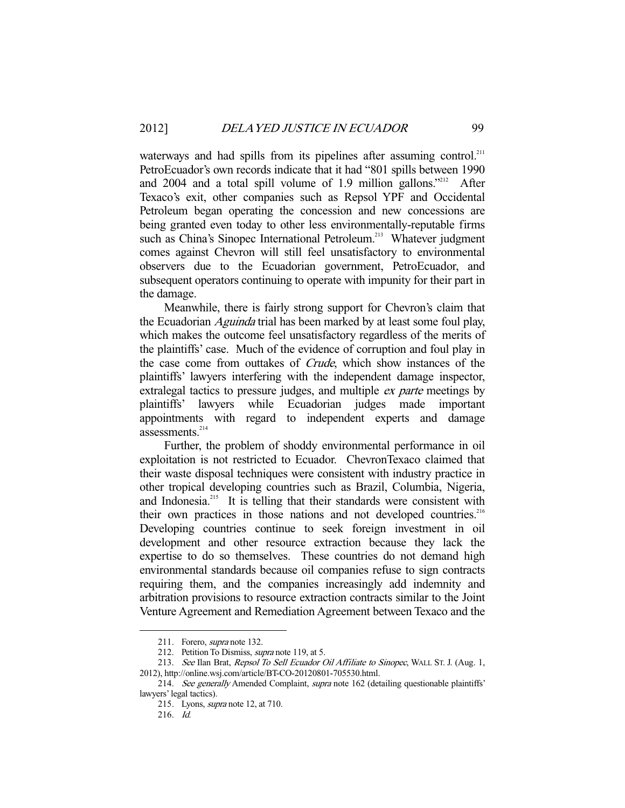waterways and had spills from its pipelines after assuming control.<sup>211</sup> PetroEcuador's own records indicate that it had "801 spills between 1990 and 2004 and a total spill volume of 1.9 million gallons."<sup>212</sup> After Texaco's exit, other companies such as Repsol YPF and Occidental Petroleum began operating the concession and new concessions are being granted even today to other less environmentally-reputable firms such as China's Sinopec International Petroleum.<sup>213</sup> Whatever judgment comes against Chevron will still feel unsatisfactory to environmental observers due to the Ecuadorian government, PetroEcuador, and subsequent operators continuing to operate with impunity for their part in the damage.

 Meanwhile, there is fairly strong support for Chevron's claim that the Ecuadorian *Aguinda* trial has been marked by at least some foul play, which makes the outcome feel unsatisfactory regardless of the merits of the plaintiffs' case. Much of the evidence of corruption and foul play in the case come from outtakes of Crude, which show instances of the plaintiffs' lawyers interfering with the independent damage inspector, extralegal tactics to pressure judges, and multiple *ex parte* meetings by plaintiffs' lawyers while Ecuadorian judges made important appointments with regard to independent experts and damage assessments.<sup>214</sup>

 Further, the problem of shoddy environmental performance in oil exploitation is not restricted to Ecuador. ChevronTexaco claimed that their waste disposal techniques were consistent with industry practice in other tropical developing countries such as Brazil, Columbia, Nigeria, and Indonesia.<sup>215</sup> It is telling that their standards were consistent with their own practices in those nations and not developed countries.<sup>216</sup> Developing countries continue to seek foreign investment in oil development and other resource extraction because they lack the expertise to do so themselves. These countries do not demand high environmental standards because oil companies refuse to sign contracts requiring them, and the companies increasingly add indemnity and arbitration provisions to resource extraction contracts similar to the Joint Venture Agreement and Remediation Agreement between Texaco and the

 <sup>211.</sup> Forero, supra note 132.

<sup>212.</sup> Petition To Dismiss, *supra* note 119, at 5.

<sup>213.</sup> See Ilan Brat, Repsol To Sell Ecuador Oil Affiliate to Sinopec, WALL ST. J. (Aug. 1, 2012), http://online.wsj.com/article/BT-CO-20120801-705530.html.

<sup>214.</sup> See generally Amended Complaint, supra note 162 (detailing questionable plaintiffs' lawyers' legal tactics).

 <sup>215.</sup> Lyons, supra note 12, at 710.

 <sup>216.</sup> Id.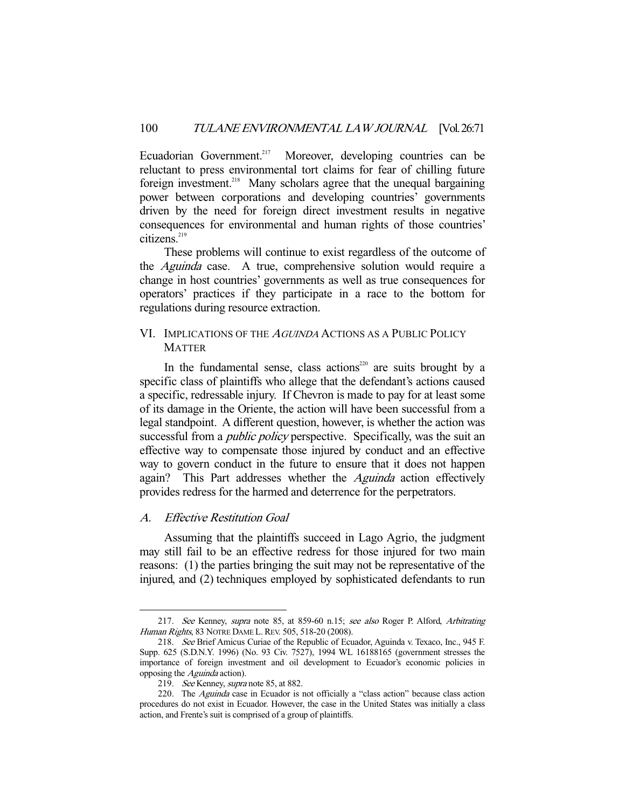Ecuadorian Government.<sup>217</sup> Moreover, developing countries can be reluctant to press environmental tort claims for fear of chilling future foreign investment.<sup>218</sup> Many scholars agree that the unequal bargaining power between corporations and developing countries' governments driven by the need for foreign direct investment results in negative consequences for environmental and human rights of those countries'  $citizens.<sup>219</sup>$ 

 These problems will continue to exist regardless of the outcome of the Aguinda case. A true, comprehensive solution would require a change in host countries' governments as well as true consequences for operators' practices if they participate in a race to the bottom for regulations during resource extraction.

## VI. IMPLICATIONS OF THE <sup>A</sup>GUINDA ACTIONS AS A PUBLIC POLICY **MATTER**

In the fundamental sense, class actions<sup>220</sup> are suits brought by a specific class of plaintiffs who allege that the defendant's actions caused a specific, redressable injury. If Chevron is made to pay for at least some of its damage in the Oriente, the action will have been successful from a legal standpoint. A different question, however, is whether the action was successful from a *public policy* perspective. Specifically, was the suit an effective way to compensate those injured by conduct and an effective way to govern conduct in the future to ensure that it does not happen again? This Part addresses whether the *Aguinda* action effectively provides redress for the harmed and deterrence for the perpetrators.

## A. Effective Restitution Goal

-

 Assuming that the plaintiffs succeed in Lago Agrio, the judgment may still fail to be an effective redress for those injured for two main reasons: (1) the parties bringing the suit may not be representative of the injured, and (2) techniques employed by sophisticated defendants to run

 <sup>217.</sup> See Kenney, supra note 85, at 859-60 n.15; see also Roger P. Alford, Arbitrating Human Rights, 83 NOTRE DAME L. REV. 505, 518-20 (2008).

 <sup>218.</sup> See Brief Amicus Curiae of the Republic of Ecuador, Aguinda v. Texaco, Inc., 945 F. Supp. 625 (S.D.N.Y. 1996) (No. 93 Civ. 7527), 1994 WL 16188165 (government stresses the importance of foreign investment and oil development to Ecuador's economic policies in opposing the Aguinda action).

<sup>219.</sup> See Kenney, supra note 85, at 882.

<sup>220.</sup> The *Aguinda* case in Ecuador is not officially a "class action" because class action procedures do not exist in Ecuador. However, the case in the United States was initially a class action, and Frente's suit is comprised of a group of plaintiffs.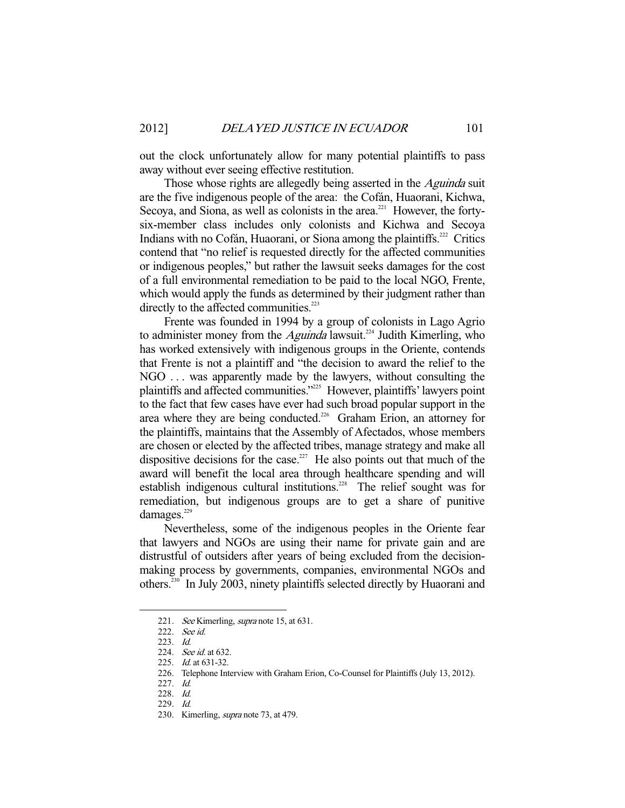out the clock unfortunately allow for many potential plaintiffs to pass away without ever seeing effective restitution.

Those whose rights are allegedly being asserted in the *Aguinda* suit are the five indigenous people of the area: the Cofán, Huaorani, Kichwa, Secoya, and Siona, as well as colonists in the area.<sup>221</sup> However, the fortysix-member class includes only colonists and Kichwa and Secoya Indians with no Cofán, Huaorani, or Siona among the plaintiffs.<sup>222</sup> Critics contend that "no relief is requested directly for the affected communities or indigenous peoples," but rather the lawsuit seeks damages for the cost of a full environmental remediation to be paid to the local NGO, Frente, which would apply the funds as determined by their judgment rather than directly to the affected communities.<sup>223</sup>

 Frente was founded in 1994 by a group of colonists in Lago Agrio to administer money from the *Aguinda* lawsuit.<sup>224</sup> Judith Kimerling, who has worked extensively with indigenous groups in the Oriente, contends that Frente is not a plaintiff and "the decision to award the relief to the NGO . . . was apparently made by the lawyers, without consulting the plaintiffs and affected communities."<sup>225</sup> However, plaintiffs' lawyers point to the fact that few cases have ever had such broad popular support in the area where they are being conducted.<sup>226</sup> Graham Erion, an attorney for the plaintiffs, maintains that the Assembly of Afectados, whose members are chosen or elected by the affected tribes, manage strategy and make all dispositive decisions for the case.<sup>227</sup> He also points out that much of the award will benefit the local area through healthcare spending and will establish indigenous cultural institutions.<sup>228</sup> The relief sought was for remediation, but indigenous groups are to get a share of punitive damages.<sup>229</sup>

 Nevertheless, some of the indigenous peoples in the Oriente fear that lawyers and NGOs are using their name for private gain and are distrustful of outsiders after years of being excluded from the decisionmaking process by governments, companies, environmental NGOs and others.230 In July 2003, ninety plaintiffs selected directly by Huaorani and

<sup>221.</sup> See Kimerling, supra note 15, at 631.

 <sup>222.</sup> See id.

 <sup>223.</sup> Id.

<sup>224.</sup> *See id.* at 632.

<sup>225.</sup> *Id.* at 631-32.

 <sup>226.</sup> Telephone Interview with Graham Erion, Co-Counsel for Plaintiffs (July 13, 2012).

 <sup>227.</sup> Id.

 <sup>228.</sup> Id.

 <sup>229.</sup> Id.

<sup>230.</sup> Kimerling, *supra* note 73, at 479.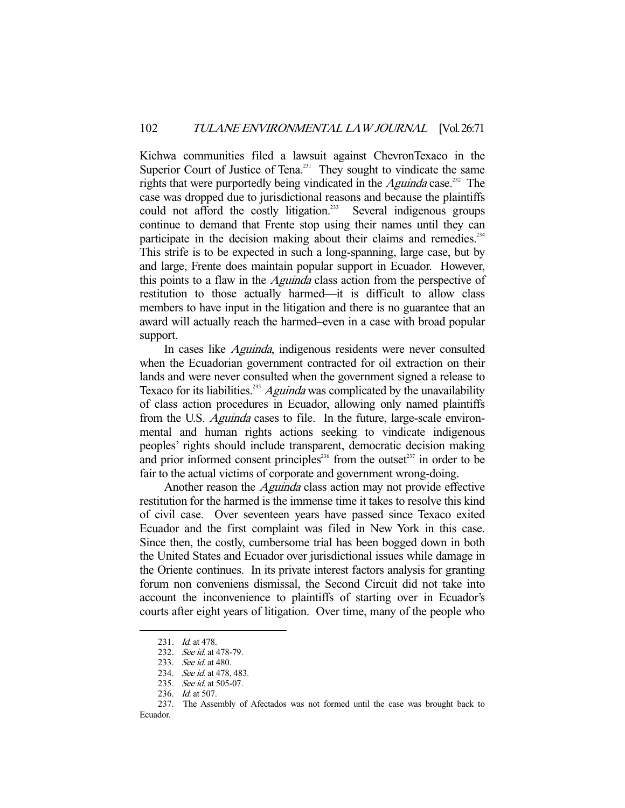Kichwa communities filed a lawsuit against ChevronTexaco in the Superior Court of Justice of Tena.<sup>231</sup> They sought to vindicate the same rights that were purportedly being vindicated in the Aguinda case.<sup>232</sup> The case was dropped due to jurisdictional reasons and because the plaintiffs could not afford the costly litigation.<sup>233</sup> Several indigenous groups continue to demand that Frente stop using their names until they can participate in the decision making about their claims and remedies.<sup>234</sup> This strife is to be expected in such a long-spanning, large case, but by and large, Frente does maintain popular support in Ecuador. However, this points to a flaw in the *Aguinda* class action from the perspective of restitution to those actually harmed—it is difficult to allow class members to have input in the litigation and there is no guarantee that an award will actually reach the harmed–even in a case with broad popular support.

 In cases like Aguinda, indigenous residents were never consulted when the Ecuadorian government contracted for oil extraction on their lands and were never consulted when the government signed a release to Texaco for its liabilities.<sup>235</sup> Aguinda was complicated by the unavailability of class action procedures in Ecuador, allowing only named plaintiffs from the U.S. *Aguinda* cases to file. In the future, large-scale environmental and human rights actions seeking to vindicate indigenous peoples' rights should include transparent, democratic decision making and prior informed consent principles<sup>236</sup> from the outset<sup>237</sup> in order to be fair to the actual victims of corporate and government wrong-doing.

Another reason the *Aguinda* class action may not provide effective restitution for the harmed is the immense time it takes to resolve this kind of civil case. Over seventeen years have passed since Texaco exited Ecuador and the first complaint was filed in New York in this case. Since then, the costly, cumbersome trial has been bogged down in both the United States and Ecuador over jurisdictional issues while damage in the Oriente continues. In its private interest factors analysis for granting forum non conveniens dismissal, the Second Circuit did not take into account the inconvenience to plaintiffs of starting over in Ecuador's courts after eight years of litigation. Over time, many of the people who

<sup>231.</sup> *Id.* at 478.

<sup>232.</sup> See id. at 478-79.

<sup>233.</sup> See id. at 480.

<sup>234.</sup> See id. at 478, 483.

<sup>235.</sup> See id. at 505-07.

<sup>236.</sup> *Id.* at 507.

 <sup>237.</sup> The Assembly of Afectados was not formed until the case was brought back to Ecuador.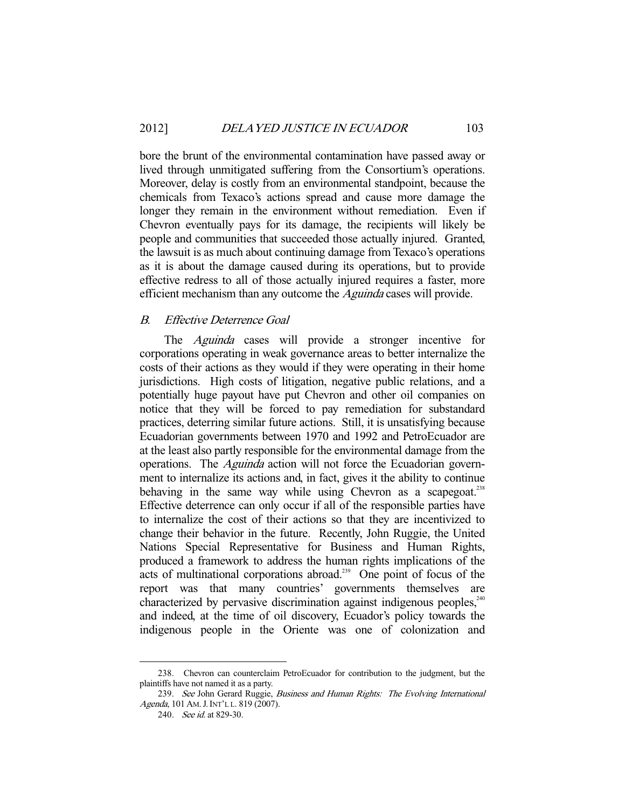bore the brunt of the environmental contamination have passed away or lived through unmitigated suffering from the Consortium's operations. Moreover, delay is costly from an environmental standpoint, because the chemicals from Texaco's actions spread and cause more damage the longer they remain in the environment without remediation. Even if Chevron eventually pays for its damage, the recipients will likely be people and communities that succeeded those actually injured. Granted, the lawsuit is as much about continuing damage from Texaco's operations as it is about the damage caused during its operations, but to provide effective redress to all of those actually injured requires a faster, more efficient mechanism than any outcome the *Aguinda* cases will provide.

## B. Effective Deterrence Goal

The *Aguinda* cases will provide a stronger incentive for corporations operating in weak governance areas to better internalize the costs of their actions as they would if they were operating in their home jurisdictions. High costs of litigation, negative public relations, and a potentially huge payout have put Chevron and other oil companies on notice that they will be forced to pay remediation for substandard practices, deterring similar future actions. Still, it is unsatisfying because Ecuadorian governments between 1970 and 1992 and PetroEcuador are at the least also partly responsible for the environmental damage from the operations. The *Aguinda* action will not force the Ecuadorian government to internalize its actions and, in fact, gives it the ability to continue behaving in the same way while using Chevron as a scapegoat.<sup>238</sup> Effective deterrence can only occur if all of the responsible parties have to internalize the cost of their actions so that they are incentivized to change their behavior in the future. Recently, John Ruggie, the United Nations Special Representative for Business and Human Rights, produced a framework to address the human rights implications of the acts of multinational corporations abroad.<sup>239</sup> One point of focus of the report was that many countries' governments themselves are characterized by pervasive discrimination against indigenous peoples.<sup>240</sup> and indeed, at the time of oil discovery, Ecuador's policy towards the indigenous people in the Oriente was one of colonization and

 <sup>238.</sup> Chevron can counterclaim PetroEcuador for contribution to the judgment, but the plaintiffs have not named it as a party.

<sup>239.</sup> See John Gerard Ruggie, Business and Human Rights: The Evolving International Agenda, 101 AM. J. INT'L L. 819 (2007).

<sup>240.</sup> See id. at 829-30.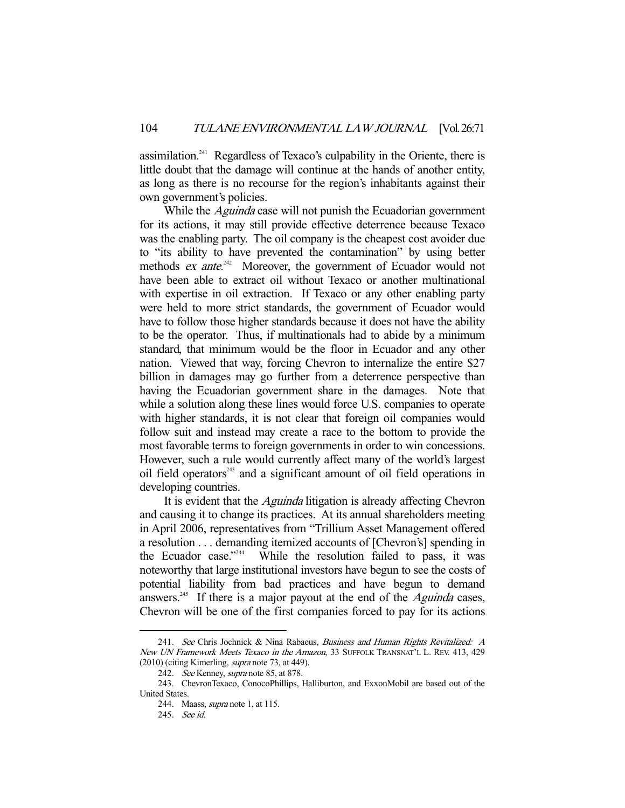assimilation.241 Regardless of Texaco's culpability in the Oriente, there is little doubt that the damage will continue at the hands of another entity, as long as there is no recourse for the region's inhabitants against their own government's policies.

While the *Aguinda* case will not punish the Ecuadorian government for its actions, it may still provide effective deterrence because Texaco was the enabling party. The oil company is the cheapest cost avoider due to "its ability to have prevented the contamination" by using better methods *ex ante*.<sup>242</sup> Moreover, the government of Ecuador would not have been able to extract oil without Texaco or another multinational with expertise in oil extraction. If Texaco or any other enabling party were held to more strict standards, the government of Ecuador would have to follow those higher standards because it does not have the ability to be the operator. Thus, if multinationals had to abide by a minimum standard, that minimum would be the floor in Ecuador and any other nation. Viewed that way, forcing Chevron to internalize the entire \$27 billion in damages may go further from a deterrence perspective than having the Ecuadorian government share in the damages. Note that while a solution along these lines would force U.S. companies to operate with higher standards, it is not clear that foreign oil companies would follow suit and instead may create a race to the bottom to provide the most favorable terms to foreign governments in order to win concessions. However, such a rule would currently affect many of the world's largest oil field operators<sup>243</sup> and a significant amount of oil field operations in developing countries.

It is evident that the *Aguinda* litigation is already affecting Chevron and causing it to change its practices. At its annual shareholders meeting in April 2006, representatives from "Trillium Asset Management offered a resolution . . . demanding itemized accounts of [Chevron's] spending in the Ecuador case."<sup>244</sup> While the resolution failed to pass, it was noteworthy that large institutional investors have begun to see the costs of potential liability from bad practices and have begun to demand answers.<sup>245</sup> If there is a major payout at the end of the *Aguinda* cases, Chevron will be one of the first companies forced to pay for its actions

<sup>241.</sup> See Chris Jochnick & Nina Rabaeus, Business and Human Rights Revitalized: A New UN Framework Meets Texaco in the Amazon, 33 SUFFOLK TRANSNAT'L L. REV. 413, 429 (2010) (citing Kimerling, supra note 73, at 449).

<sup>242.</sup> See Kenney, supra note 85, at 878.

 <sup>243.</sup> ChevronTexaco, ConocoPhillips, Halliburton, and ExxonMobil are based out of the United States.

 <sup>244.</sup> Maass, supra note 1, at 115.

 <sup>245.</sup> See id.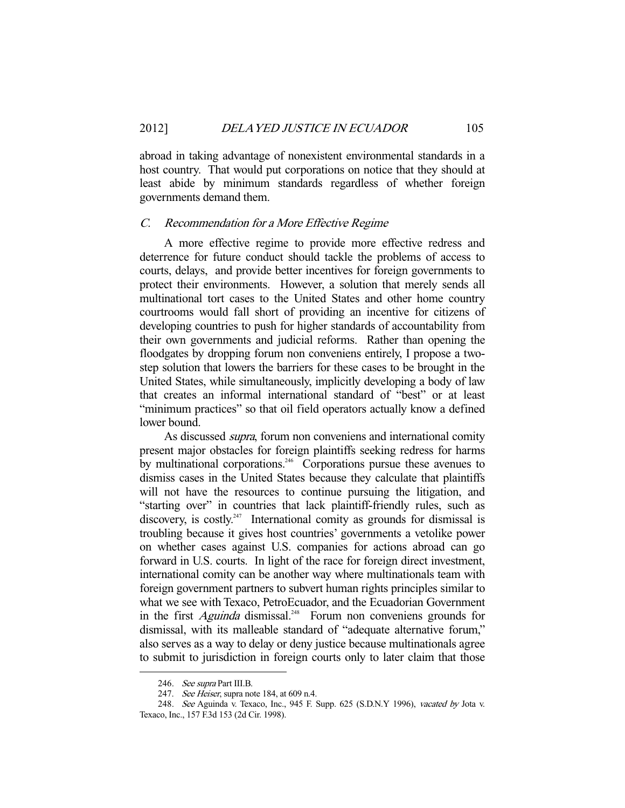abroad in taking advantage of nonexistent environmental standards in a host country. That would put corporations on notice that they should at least abide by minimum standards regardless of whether foreign governments demand them.

#### C. Recommendation for a More Effective Regime

 A more effective regime to provide more effective redress and deterrence for future conduct should tackle the problems of access to courts, delays, and provide better incentives for foreign governments to protect their environments. However, a solution that merely sends all multinational tort cases to the United States and other home country courtrooms would fall short of providing an incentive for citizens of developing countries to push for higher standards of accountability from their own governments and judicial reforms. Rather than opening the floodgates by dropping forum non conveniens entirely, I propose a twostep solution that lowers the barriers for these cases to be brought in the United States, while simultaneously, implicitly developing a body of law that creates an informal international standard of "best" or at least "minimum practices" so that oil field operators actually know a defined lower bound.

As discussed *supra*, forum non conveniens and international comity present major obstacles for foreign plaintiffs seeking redress for harms by multinational corporations.<sup>246</sup> Corporations pursue these avenues to dismiss cases in the United States because they calculate that plaintiffs will not have the resources to continue pursuing the litigation, and "starting over" in countries that lack plaintiff-friendly rules, such as discovery, is costly.<sup>247</sup> International comity as grounds for dismissal is troubling because it gives host countries' governments a vetolike power on whether cases against U.S. companies for actions abroad can go forward in U.S. courts. In light of the race for foreign direct investment, international comity can be another way where multinationals team with foreign government partners to subvert human rights principles similar to what we see with Texaco, PetroEcuador, and the Ecuadorian Government in the first  $A$ guinda dismissal.<sup>248</sup> Forum non conveniens grounds for dismissal, with its malleable standard of "adequate alternative forum," also serves as a way to delay or deny justice because multinationals agree to submit to jurisdiction in foreign courts only to later claim that those

<sup>246.</sup> See supra Part III.B.

<sup>247.</sup> See Heiser, supra note 184, at 609 n.4.

 <sup>248.</sup> See Aguinda v. Texaco, Inc., 945 F. Supp. 625 (S.D.N.Y 1996), vacated by Jota v. Texaco, Inc., 157 F.3d 153 (2d Cir. 1998).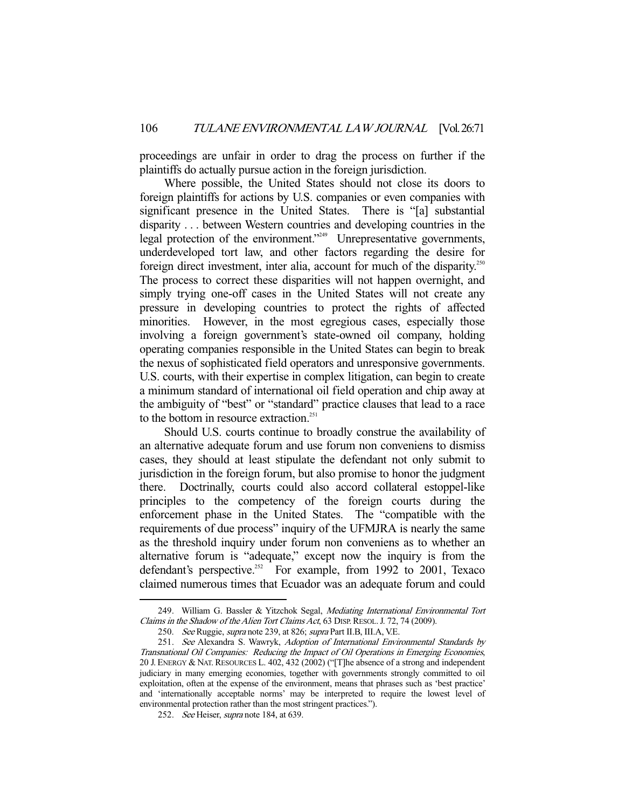proceedings are unfair in order to drag the process on further if the plaintiffs do actually pursue action in the foreign jurisdiction.

 Where possible, the United States should not close its doors to foreign plaintiffs for actions by U.S. companies or even companies with significant presence in the United States. There is "[a] substantial disparity . . . between Western countries and developing countries in the legal protection of the environment."<sup>249</sup> Unrepresentative governments, underdeveloped tort law, and other factors regarding the desire for foreign direct investment, inter alia, account for much of the disparity.<sup>250</sup> The process to correct these disparities will not happen overnight, and simply trying one-off cases in the United States will not create any pressure in developing countries to protect the rights of affected minorities. However, in the most egregious cases, especially those involving a foreign government's state-owned oil company, holding operating companies responsible in the United States can begin to break the nexus of sophisticated field operators and unresponsive governments. U.S. courts, with their expertise in complex litigation, can begin to create a minimum standard of international oil field operation and chip away at the ambiguity of "best" or "standard" practice clauses that lead to a race to the bottom in resource extraction.<sup>251</sup>

 Should U.S. courts continue to broadly construe the availability of an alternative adequate forum and use forum non conveniens to dismiss cases, they should at least stipulate the defendant not only submit to jurisdiction in the foreign forum, but also promise to honor the judgment there. Doctrinally, courts could also accord collateral estoppel-like principles to the competency of the foreign courts during the enforcement phase in the United States. The "compatible with the requirements of due process" inquiry of the UFMJRA is nearly the same as the threshold inquiry under forum non conveniens as to whether an alternative forum is "adequate," except now the inquiry is from the defendant's perspective.<sup>252</sup> For example, from 1992 to 2001, Texaco claimed numerous times that Ecuador was an adequate forum and could

<sup>249.</sup> William G. Bassler & Yitzchok Segal, Mediating International Environmental Tort Claims in the Shadow of the Alien Tort Claims Act, 63 DISP. RESOL. J. 72, 74 (2009).

<sup>250.</sup> See Ruggie, supra note 239, at 826; supra Part II.B, III.A, V.E.

 <sup>251.</sup> See Alexandra S. Wawryk, Adoption of International Environmental Standards by Transnational Oil Companies: Reducing the Impact of Oil Operations in Emerging Economies, 20 J. ENERGY & NAT. RESOURCES L. 402, 432 (2002) ("[T]he absence of a strong and independent judiciary in many emerging economies, together with governments strongly committed to oil exploitation, often at the expense of the environment, means that phrases such as 'best practice' and 'internationally acceptable norms' may be interpreted to require the lowest level of environmental protection rather than the most stringent practices.").

<sup>252.</sup> See Heiser, supra note 184, at 639.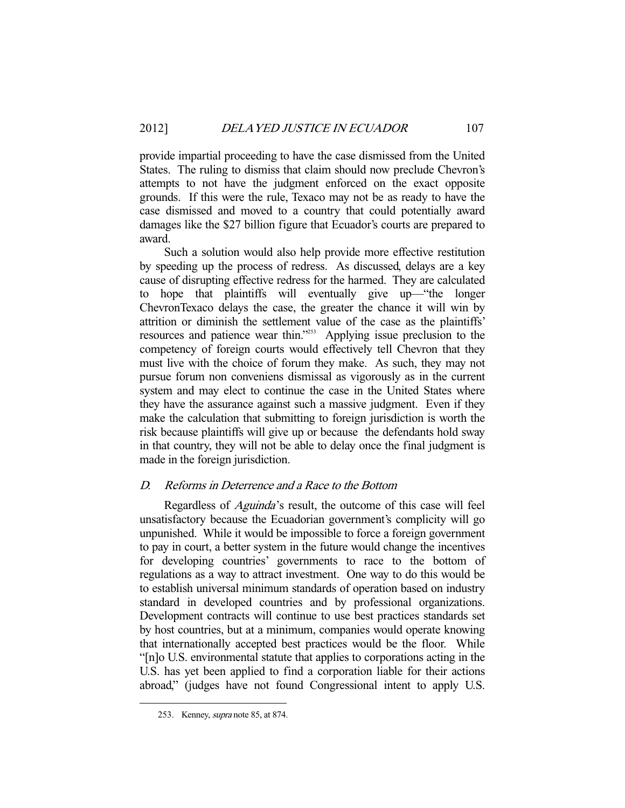provide impartial proceeding to have the case dismissed from the United States. The ruling to dismiss that claim should now preclude Chevron's attempts to not have the judgment enforced on the exact opposite grounds. If this were the rule, Texaco may not be as ready to have the case dismissed and moved to a country that could potentially award damages like the \$27 billion figure that Ecuador's courts are prepared to award.

 Such a solution would also help provide more effective restitution by speeding up the process of redress. As discussed, delays are a key cause of disrupting effective redress for the harmed. They are calculated to hope that plaintiffs will eventually give up—"the longer ChevronTexaco delays the case, the greater the chance it will win by attrition or diminish the settlement value of the case as the plaintiffs' resources and patience wear thin."253 Applying issue preclusion to the competency of foreign courts would effectively tell Chevron that they must live with the choice of forum they make. As such, they may not pursue forum non conveniens dismissal as vigorously as in the current system and may elect to continue the case in the United States where they have the assurance against such a massive judgment. Even if they make the calculation that submitting to foreign jurisdiction is worth the risk because plaintiffs will give up or because the defendants hold sway in that country, they will not be able to delay once the final judgment is made in the foreign jurisdiction.

## D. Reforms in Deterrence and a Race to the Bottom

Regardless of *Aguinda*'s result, the outcome of this case will feel unsatisfactory because the Ecuadorian government's complicity will go unpunished. While it would be impossible to force a foreign government to pay in court, a better system in the future would change the incentives for developing countries' governments to race to the bottom of regulations as a way to attract investment. One way to do this would be to establish universal minimum standards of operation based on industry standard in developed countries and by professional organizations. Development contracts will continue to use best practices standards set by host countries, but at a minimum, companies would operate knowing that internationally accepted best practices would be the floor. While "[n]o U.S. environmental statute that applies to corporations acting in the U.S. has yet been applied to find a corporation liable for their actions abroad," (judges have not found Congressional intent to apply U.S.

 <sup>253.</sup> Kenney, supra note 85, at 874.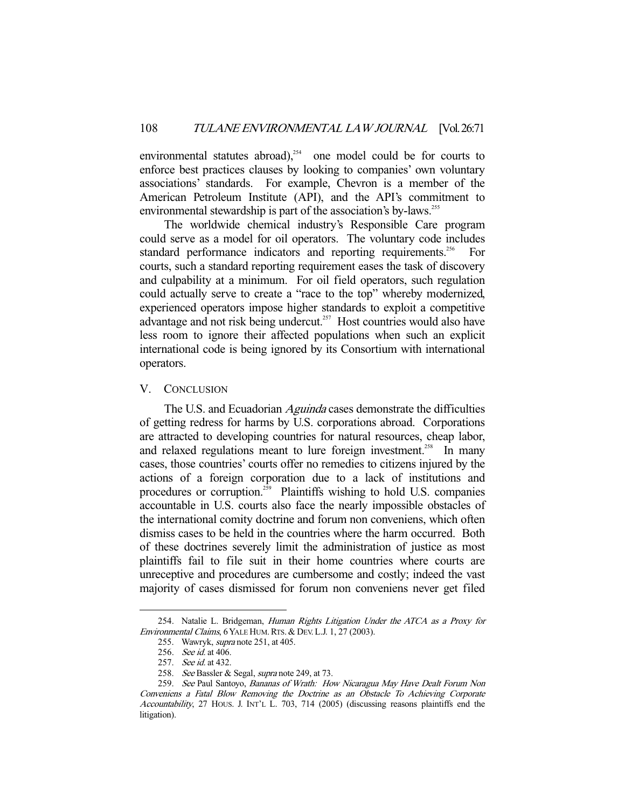environmental statutes abroad), $254$  one model could be for courts to enforce best practices clauses by looking to companies' own voluntary associations' standards. For example, Chevron is a member of the American Petroleum Institute (API), and the API's commitment to environmental stewardship is part of the association's by-laws.<sup>255</sup>

 The worldwide chemical industry's Responsible Care program could serve as a model for oil operators. The voluntary code includes standard performance indicators and reporting requirements.<sup>256</sup> For courts, such a standard reporting requirement eases the task of discovery and culpability at a minimum. For oil field operators, such regulation could actually serve to create a "race to the top" whereby modernized, experienced operators impose higher standards to exploit a competitive advantage and not risk being undercut.<sup>257</sup> Host countries would also have less room to ignore their affected populations when such an explicit international code is being ignored by its Consortium with international operators.

## V. CONCLUSION

The U.S. and Ecuadorian *Aguinda* cases demonstrate the difficulties of getting redress for harms by U.S. corporations abroad. Corporations are attracted to developing countries for natural resources, cheap labor, and relaxed regulations meant to lure foreign investment.<sup>258</sup> In many cases, those countries' courts offer no remedies to citizens injured by the actions of a foreign corporation due to a lack of institutions and procedures or corruption. $259$  Plaintiffs wishing to hold U.S. companies accountable in U.S. courts also face the nearly impossible obstacles of the international comity doctrine and forum non conveniens, which often dismiss cases to be held in the countries where the harm occurred. Both of these doctrines severely limit the administration of justice as most plaintiffs fail to file suit in their home countries where courts are unreceptive and procedures are cumbersome and costly; indeed the vast majority of cases dismissed for forum non conveniens never get filed

<sup>254.</sup> Natalie L. Bridgeman, Human Rights Litigation Under the ATCA as a Proxy for Environmental Claims, 6 YALE HUM. RTS. & DEV. L.J. 1, 27 (2003).

 <sup>255.</sup> Wawryk, supra note 251, at 405.

 <sup>256.</sup> See id. at 406.

 <sup>257.</sup> See id. at 432.

<sup>258.</sup> See Bassler & Segal, supra note 249, at 73.

<sup>259.</sup> See Paul Santoyo, Bananas of Wrath: How Nicaragua May Have Dealt Forum Non Conveniens a Fatal Blow Removing the Doctrine as an Obstacle To Achieving Corporate Accountability, 27 HOUS. J. INT'L L. 703, 714 (2005) (discussing reasons plaintiffs end the litigation).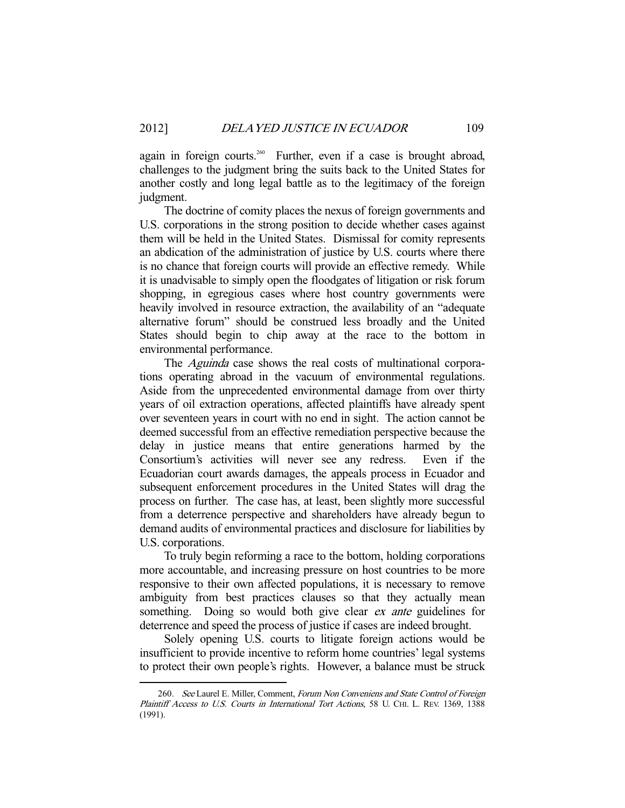again in foreign courts.<sup>260</sup> Further, even if a case is brought abroad, challenges to the judgment bring the suits back to the United States for another costly and long legal battle as to the legitimacy of the foreign judgment.

 The doctrine of comity places the nexus of foreign governments and U.S. corporations in the strong position to decide whether cases against them will be held in the United States. Dismissal for comity represents an abdication of the administration of justice by U.S. courts where there is no chance that foreign courts will provide an effective remedy. While it is unadvisable to simply open the floodgates of litigation or risk forum shopping, in egregious cases where host country governments were heavily involved in resource extraction, the availability of an "adequate alternative forum" should be construed less broadly and the United States should begin to chip away at the race to the bottom in environmental performance.

The *Aguinda* case shows the real costs of multinational corporations operating abroad in the vacuum of environmental regulations. Aside from the unprecedented environmental damage from over thirty years of oil extraction operations, affected plaintiffs have already spent over seventeen years in court with no end in sight. The action cannot be deemed successful from an effective remediation perspective because the delay in justice means that entire generations harmed by the Consortium's activities will never see any redress. Even if the Ecuadorian court awards damages, the appeals process in Ecuador and subsequent enforcement procedures in the United States will drag the process on further. The case has, at least, been slightly more successful from a deterrence perspective and shareholders have already begun to demand audits of environmental practices and disclosure for liabilities by U.S. corporations.

 To truly begin reforming a race to the bottom, holding corporations more accountable, and increasing pressure on host countries to be more responsive to their own affected populations, it is necessary to remove ambiguity from best practices clauses so that they actually mean something. Doing so would both give clear ex ante guidelines for deterrence and speed the process of justice if cases are indeed brought.

 Solely opening U.S. courts to litigate foreign actions would be insufficient to provide incentive to reform home countries' legal systems to protect their own people's rights. However, a balance must be struck

<sup>260.</sup> See Laurel E. Miller, Comment, Forum Non Conveniens and State Control of Foreign Plaintiff Access to U.S. Courts in International Tort Actions, 58 U. CHI. L. REV. 1369, 1388 (1991).